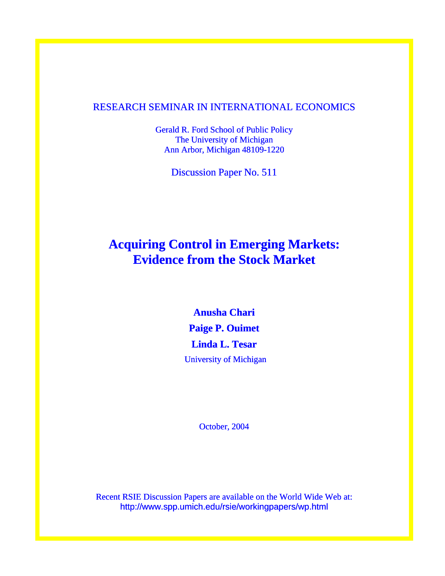### RESEARCH SEMINAR IN INTERNATIONAL ECONOMICS

Gerald R. Ford School of Public Policy The University of Michigan Ann Arbor, Michigan 48109-1220

Discussion Paper No. 511

# **Acquiring Control in Emerging Markets: Evidence from the Stock Market**

**Anusha Chari Paige P. Ouimet Linda L. Tesar**  University of Michigan

October, 2004

Recent RSIE Discussion Papers are available on the World Wide Web at: http://www.spp.umich.edu/rsie/workingpapers/wp.html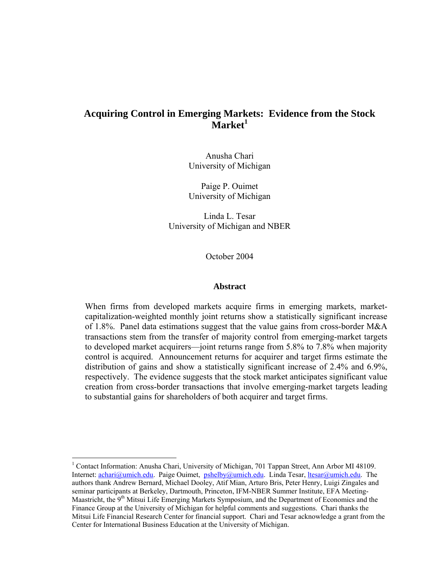## **Acquiring Control in Emerging Markets: Evidence from the Stock Market<sup>1</sup>**

Anusha Chari University of Michigan

Paige P. Ouimet University of Michigan

Linda L. Tesar University of Michigan and NBER

October 2004

#### **Abstract**

When firms from developed markets acquire firms in emerging markets, marketcapitalization-weighted monthly joint returns show a statistically significant increase of 1.8%. Panel data estimations suggest that the value gains from cross-border M&A transactions stem from the transfer of majority control from emerging-market targets to developed market acquirers—joint returns range from 5.8% to 7.8% when majority control is acquired. Announcement returns for acquirer and target firms estimate the distribution of gains and show a statistically significant increase of 2.4% and 6.9%, respectively. The evidence suggests that the stock market anticipates significant value creation from cross-border transactions that involve emerging-market targets leading to substantial gains for shareholders of both acquirer and target firms.

<sup>&</sup>lt;sup>1</sup> Contact Information: Anusha Chari, University of Michigan, 701 Tappan Street, Ann Arbor MI 48109. Internet: achari@umich.edu. Paige Ouimet, pshelby@umich.edu. Linda Tesar, ltesar@umich.edu. The authors thank Andrew Bernard, Michael Dooley, Atif Mian, Arturo Bris, Peter Henry, Luigi Zingales and seminar participants at Berkeley, Dartmouth, Princeton, IFM-NBER Summer Institute, EFA Meeting-Maastricht, the  $9<sup>th</sup>$  Mitsui Life Emerging Markets Symposium, and the Department of Economics and the Finance Group at the University of Michigan for helpful comments and suggestions. Chari thanks the Mitsui Life Financial Research Center for financial support. Chari and Tesar acknowledge a grant from the Center for International Business Education at the University of Michigan.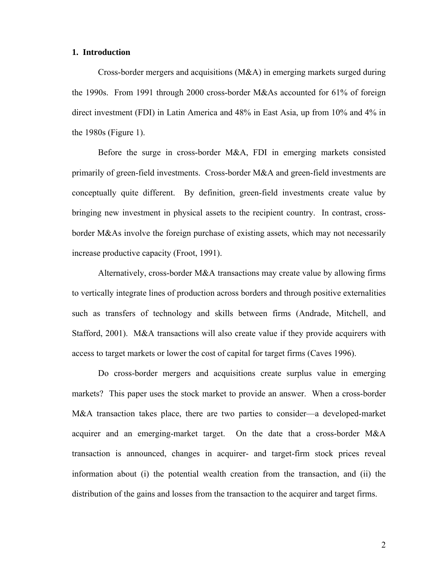#### **1. Introduction**

Cross-border mergers and acquisitions (M&A) in emerging markets surged during the 1990s. From 1991 through 2000 cross-border M&As accounted for 61% of foreign direct investment (FDI) in Latin America and 48% in East Asia, up from 10% and 4% in the 1980s (Figure 1).

Before the surge in cross-border M&A, FDI in emerging markets consisted primarily of green-field investments. Cross-border M&A and green-field investments are conceptually quite different. By definition, green-field investments create value by bringing new investment in physical assets to the recipient country. In contrast, crossborder M&As involve the foreign purchase of existing assets, which may not necessarily increase productive capacity (Froot, 1991).

Alternatively, cross-border M&A transactions may create value by allowing firms to vertically integrate lines of production across borders and through positive externalities such as transfers of technology and skills between firms (Andrade, Mitchell, and Stafford, 2001). M&A transactions will also create value if they provide acquirers with access to target markets or lower the cost of capital for target firms (Caves 1996).

Do cross-border mergers and acquisitions create surplus value in emerging markets? This paper uses the stock market to provide an answer. When a cross-border M&A transaction takes place, there are two parties to consider—a developed-market acquirer and an emerging-market target. On the date that a cross-border M&A transaction is announced, changes in acquirer- and target-firm stock prices reveal information about (i) the potential wealth creation from the transaction, and (ii) the distribution of the gains and losses from the transaction to the acquirer and target firms.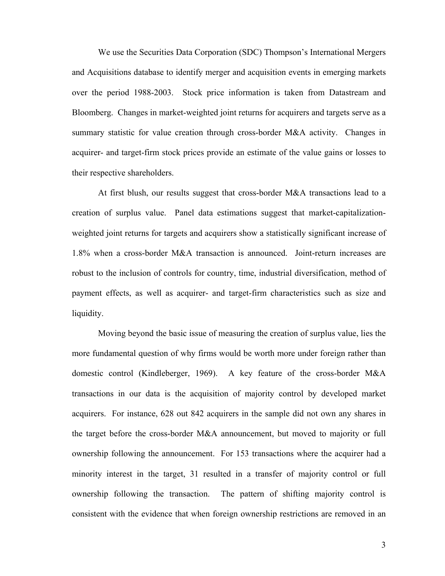We use the Securities Data Corporation (SDC) Thompson's International Mergers and Acquisitions database to identify merger and acquisition events in emerging markets over the period 1988-2003. Stock price information is taken from Datastream and Bloomberg. Changes in market-weighted joint returns for acquirers and targets serve as a summary statistic for value creation through cross-border M&A activity. Changes in acquirer- and target-firm stock prices provide an estimate of the value gains or losses to their respective shareholders.

At first blush, our results suggest that cross-border M&A transactions lead to a creation of surplus value. Panel data estimations suggest that market-capitalizationweighted joint returns for targets and acquirers show a statistically significant increase of 1.8% when a cross-border M&A transaction is announced. Joint-return increases are robust to the inclusion of controls for country, time, industrial diversification, method of payment effects, as well as acquirer- and target-firm characteristics such as size and liquidity.

Moving beyond the basic issue of measuring the creation of surplus value, lies the more fundamental question of why firms would be worth more under foreign rather than domestic control (Kindleberger, 1969). A key feature of the cross-border M&A transactions in our data is the acquisition of majority control by developed market acquirers. For instance, 628 out 842 acquirers in the sample did not own any shares in the target before the cross-border M&A announcement, but moved to majority or full ownership following the announcement. For 153 transactions where the acquirer had a minority interest in the target, 31 resulted in a transfer of majority control or full ownership following the transaction. The pattern of shifting majority control is consistent with the evidence that when foreign ownership restrictions are removed in an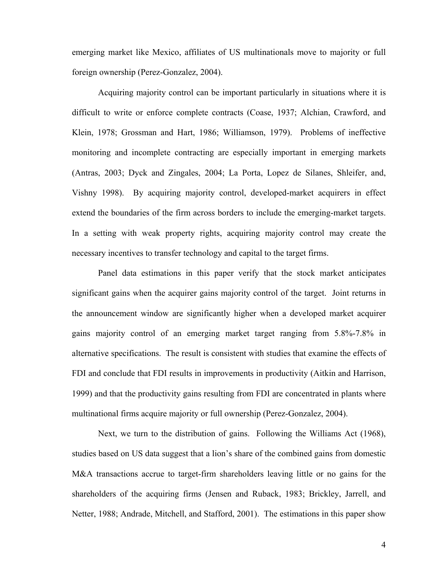emerging market like Mexico, affiliates of US multinationals move to majority or full foreign ownership (Perez-Gonzalez, 2004).

Acquiring majority control can be important particularly in situations where it is difficult to write or enforce complete contracts (Coase, 1937; Alchian, Crawford, and Klein, 1978; Grossman and Hart, 1986; Williamson, 1979). Problems of ineffective monitoring and incomplete contracting are especially important in emerging markets (Antras, 2003; Dyck and Zingales, 2004; La Porta, Lopez de Silanes, Shleifer, and, Vishny 1998). By acquiring majority control, developed-market acquirers in effect extend the boundaries of the firm across borders to include the emerging-market targets. In a setting with weak property rights, acquiring majority control may create the necessary incentives to transfer technology and capital to the target firms.

Panel data estimations in this paper verify that the stock market anticipates significant gains when the acquirer gains majority control of the target. Joint returns in the announcement window are significantly higher when a developed market acquirer gains majority control of an emerging market target ranging from 5.8%-7.8% in alternative specifications. The result is consistent with studies that examine the effects of FDI and conclude that FDI results in improvements in productivity (Aitkin and Harrison, 1999) and that the productivity gains resulting from FDI are concentrated in plants where multinational firms acquire majority or full ownership (Perez-Gonzalez, 2004).

Next, we turn to the distribution of gains. Following the Williams Act (1968), studies based on US data suggest that a lion's share of the combined gains from domestic M&A transactions accrue to target-firm shareholders leaving little or no gains for the shareholders of the acquiring firms (Jensen and Ruback, 1983; Brickley, Jarrell, and Netter, 1988; Andrade, Mitchell, and Stafford, 2001). The estimations in this paper show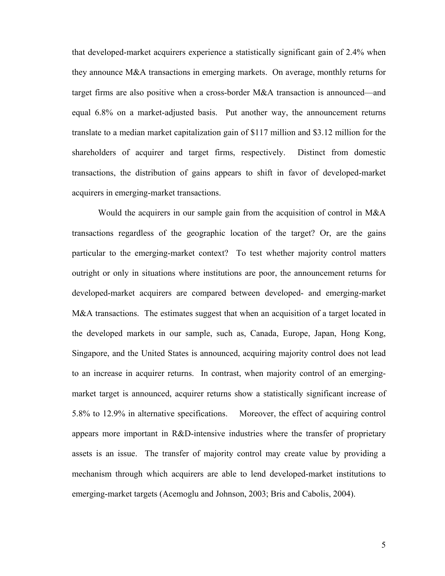that developed-market acquirers experience a statistically significant gain of 2.4% when they announce M&A transactions in emerging markets. On average, monthly returns for target firms are also positive when a cross-border M&A transaction is announced—and equal 6.8% on a market-adjusted basis. Put another way, the announcement returns translate to a median market capitalization gain of \$117 million and \$3.12 million for the shareholders of acquirer and target firms, respectively. Distinct from domestic transactions, the distribution of gains appears to shift in favor of developed-market acquirers in emerging-market transactions.

Would the acquirers in our sample gain from the acquisition of control in M&A transactions regardless of the geographic location of the target? Or, are the gains particular to the emerging-market context? To test whether majority control matters outright or only in situations where institutions are poor, the announcement returns for developed-market acquirers are compared between developed- and emerging-market M&A transactions. The estimates suggest that when an acquisition of a target located in the developed markets in our sample, such as, Canada, Europe, Japan, Hong Kong, Singapore, and the United States is announced, acquiring majority control does not lead to an increase in acquirer returns. In contrast, when majority control of an emergingmarket target is announced, acquirer returns show a statistically significant increase of 5.8% to 12.9% in alternative specifications. Moreover, the effect of acquiring control appears more important in R&D-intensive industries where the transfer of proprietary assets is an issue. The transfer of majority control may create value by providing a mechanism through which acquirers are able to lend developed-market institutions to emerging-market targets (Acemoglu and Johnson, 2003; Bris and Cabolis, 2004).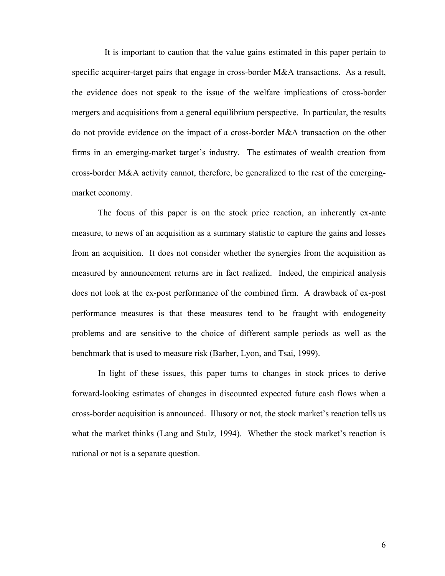It is important to caution that the value gains estimated in this paper pertain to specific acquirer-target pairs that engage in cross-border M&A transactions. As a result, the evidence does not speak to the issue of the welfare implications of cross-border mergers and acquisitions from a general equilibrium perspective. In particular, the results do not provide evidence on the impact of a cross-border M&A transaction on the other firms in an emerging-market target's industry. The estimates of wealth creation from cross-border M&A activity cannot, therefore, be generalized to the rest of the emergingmarket economy.

The focus of this paper is on the stock price reaction, an inherently ex-ante measure, to news of an acquisition as a summary statistic to capture the gains and losses from an acquisition. It does not consider whether the synergies from the acquisition as measured by announcement returns are in fact realized. Indeed, the empirical analysis does not look at the ex-post performance of the combined firm. A drawback of ex-post performance measures is that these measures tend to be fraught with endogeneity problems and are sensitive to the choice of different sample periods as well as the benchmark that is used to measure risk (Barber, Lyon, and Tsai, 1999).

In light of these issues, this paper turns to changes in stock prices to derive forward-looking estimates of changes in discounted expected future cash flows when a cross-border acquisition is announced. Illusory or not, the stock market's reaction tells us what the market thinks (Lang and Stulz, 1994). Whether the stock market's reaction is rational or not is a separate question.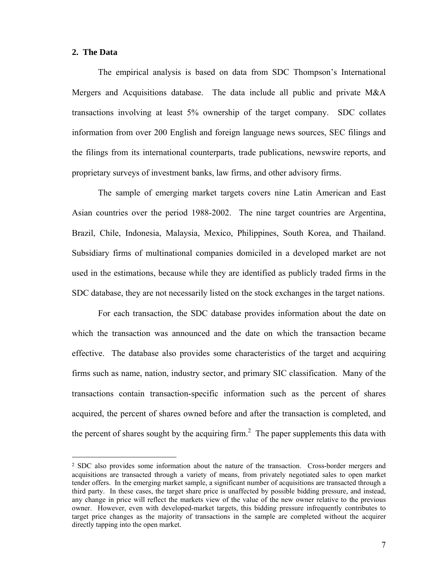#### **2. The Data**

<u>.</u>

The empirical analysis is based on data from SDC Thompson's International Mergers and Acquisitions database. The data include all public and private M&A transactions involving at least 5% ownership of the target company. SDC collates information from over 200 English and foreign language news sources, SEC filings and the filings from its international counterparts, trade publications, newswire reports, and proprietary surveys of investment banks, law firms, and other advisory firms.

The sample of emerging market targets covers nine Latin American and East Asian countries over the period 1988-2002. The nine target countries are Argentina, Brazil, Chile, Indonesia, Malaysia, Mexico, Philippines, South Korea, and Thailand. Subsidiary firms of multinational companies domiciled in a developed market are not used in the estimations, because while they are identified as publicly traded firms in the SDC database, they are not necessarily listed on the stock exchanges in the target nations.

For each transaction, the SDC database provides information about the date on which the transaction was announced and the date on which the transaction became effective. The database also provides some characteristics of the target and acquiring firms such as name, nation, industry sector, and primary SIC classification. Many of the transactions contain transaction-specific information such as the percent of shares acquired, the percent of shares owned before and after the transaction is completed, and the percent of shares sought by the acquiring firm.<sup>2</sup> The paper supplements this data with

<sup>2</sup> SDC also provides some information about the nature of the transaction. Cross-border mergers and acquisitions are transacted through a variety of means, from privately negotiated sales to open market tender offers. In the emerging market sample, a significant number of acquisitions are transacted through a third party. In these cases, the target share price is unaffected by possible bidding pressure, and instead, any change in price will reflect the markets view of the value of the new owner relative to the previous owner. However, even with developed-market targets, this bidding pressure infrequently contributes to target price changes as the majority of transactions in the sample are completed without the acquirer directly tapping into the open market.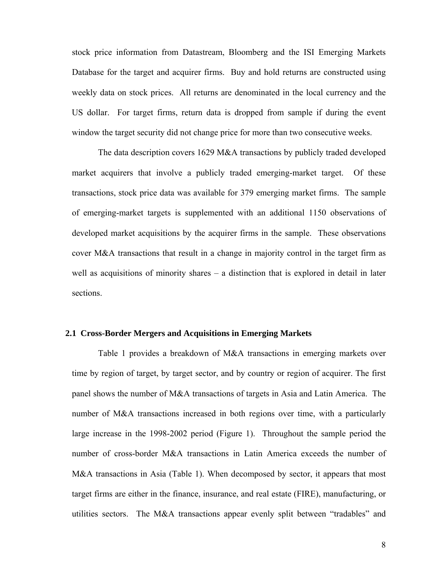stock price information from Datastream, Bloomberg and the ISI Emerging Markets Database for the target and acquirer firms. Buy and hold returns are constructed using weekly data on stock prices. All returns are denominated in the local currency and the US dollar. For target firms, return data is dropped from sample if during the event window the target security did not change price for more than two consecutive weeks.

The data description covers 1629 M&A transactions by publicly traded developed market acquirers that involve a publicly traded emerging-market target. Of these transactions, stock price data was available for 379 emerging market firms. The sample of emerging-market targets is supplemented with an additional 1150 observations of developed market acquisitions by the acquirer firms in the sample. These observations cover M&A transactions that result in a change in majority control in the target firm as well as acquisitions of minority shares  $-$  a distinction that is explored in detail in later sections.

#### **2.1 Cross-Border Mergers and Acquisitions in Emerging Markets**

Table 1 provides a breakdown of M&A transactions in emerging markets over time by region of target, by target sector, and by country or region of acquirer. The first panel shows the number of M&A transactions of targets in Asia and Latin America. The number of M&A transactions increased in both regions over time, with a particularly large increase in the 1998-2002 period (Figure 1). Throughout the sample period the number of cross-border M&A transactions in Latin America exceeds the number of M&A transactions in Asia (Table 1). When decomposed by sector, it appears that most target firms are either in the finance, insurance, and real estate (FIRE), manufacturing, or utilities sectors. The M&A transactions appear evenly split between "tradables" and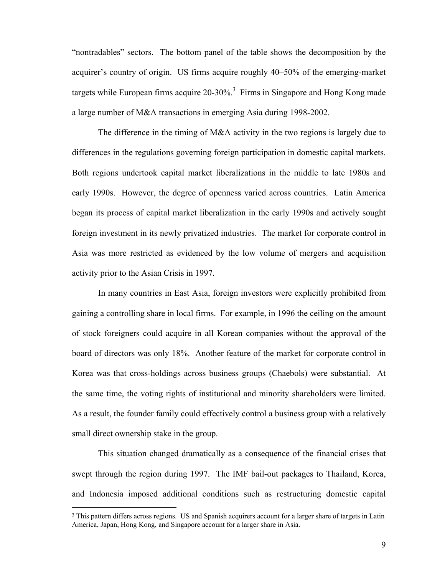"nontradables" sectors. The bottom panel of the table shows the decomposition by the acquirer's country of origin. US firms acquire roughly 40–50% of the emerging-market targets while European firms acquire  $20-30\%$ <sup>3</sup> Firms in Singapore and Hong Kong made a large number of M&A transactions in emerging Asia during 1998-2002.

The difference in the timing of M&A activity in the two regions is largely due to differences in the regulations governing foreign participation in domestic capital markets. Both regions undertook capital market liberalizations in the middle to late 1980s and early 1990s. However, the degree of openness varied across countries. Latin America began its process of capital market liberalization in the early 1990s and actively sought foreign investment in its newly privatized industries. The market for corporate control in Asia was more restricted as evidenced by the low volume of mergers and acquisition activity prior to the Asian Crisis in 1997.

In many countries in East Asia, foreign investors were explicitly prohibited from gaining a controlling share in local firms. For example, in 1996 the ceiling on the amount of stock foreigners could acquire in all Korean companies without the approval of the board of directors was only 18%. Another feature of the market for corporate control in Korea was that cross-holdings across business groups (Chaebols) were substantial. At the same time, the voting rights of institutional and minority shareholders were limited. As a result, the founder family could effectively control a business group with a relatively small direct ownership stake in the group.

This situation changed dramatically as a consequence of the financial crises that swept through the region during 1997. The IMF bail-out packages to Thailand, Korea, and Indonesia imposed additional conditions such as restructuring domestic capital

 $\overline{a}$ 

<sup>&</sup>lt;sup>3</sup> This pattern differs across regions. US and Spanish acquirers account for a larger share of targets in Latin America, Japan, Hong Kong, and Singapore account for a larger share in Asia.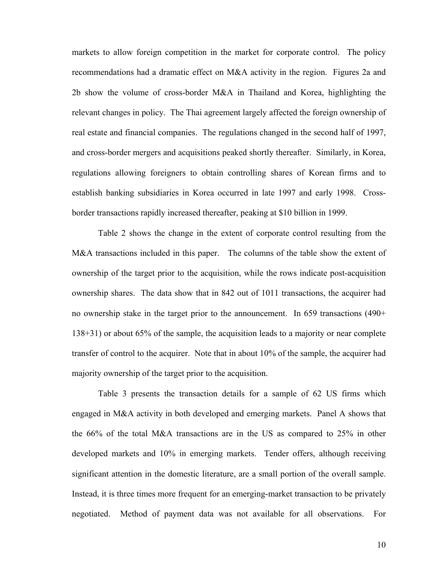markets to allow foreign competition in the market for corporate control. The policy recommendations had a dramatic effect on M&A activity in the region. Figures 2a and 2b show the volume of cross-border M&A in Thailand and Korea, highlighting the relevant changes in policy. The Thai agreement largely affected the foreign ownership of real estate and financial companies. The regulations changed in the second half of 1997, and cross-border mergers and acquisitions peaked shortly thereafter. Similarly, in Korea, regulations allowing foreigners to obtain controlling shares of Korean firms and to establish banking subsidiaries in Korea occurred in late 1997 and early 1998. Crossborder transactions rapidly increased thereafter, peaking at \$10 billion in 1999.

Table 2 shows the change in the extent of corporate control resulting from the M&A transactions included in this paper. The columns of the table show the extent of ownership of the target prior to the acquisition, while the rows indicate post-acquisition ownership shares. The data show that in 842 out of 1011 transactions, the acquirer had no ownership stake in the target prior to the announcement. In 659 transactions (490+ 138+31) or about 65% of the sample, the acquisition leads to a majority or near complete transfer of control to the acquirer. Note that in about 10% of the sample, the acquirer had majority ownership of the target prior to the acquisition.

Table 3 presents the transaction details for a sample of 62 US firms which engaged in M&A activity in both developed and emerging markets. Panel A shows that the 66% of the total M&A transactions are in the US as compared to 25% in other developed markets and 10% in emerging markets. Tender offers, although receiving significant attention in the domestic literature, are a small portion of the overall sample. Instead, it is three times more frequent for an emerging-market transaction to be privately negotiated. Method of payment data was not available for all observations. For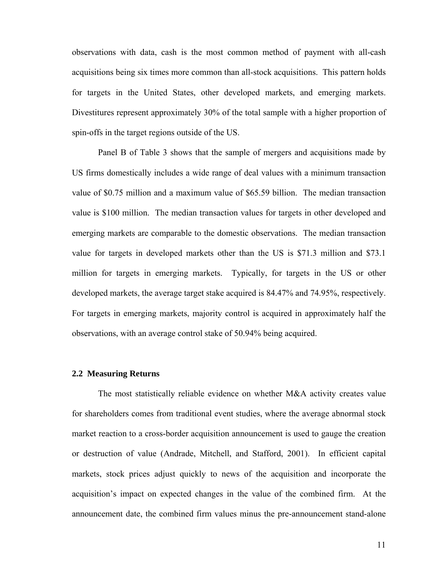observations with data, cash is the most common method of payment with all-cash acquisitions being six times more common than all-stock acquisitions. This pattern holds for targets in the United States, other developed markets, and emerging markets. Divestitures represent approximately 30% of the total sample with a higher proportion of spin-offs in the target regions outside of the US.

Panel B of Table 3 shows that the sample of mergers and acquisitions made by US firms domestically includes a wide range of deal values with a minimum transaction value of \$0.75 million and a maximum value of \$65.59 billion. The median transaction value is \$100 million. The median transaction values for targets in other developed and emerging markets are comparable to the domestic observations. The median transaction value for targets in developed markets other than the US is \$71.3 million and \$73.1 million for targets in emerging markets. Typically, for targets in the US or other developed markets, the average target stake acquired is 84.47% and 74.95%, respectively. For targets in emerging markets, majority control is acquired in approximately half the observations, with an average control stake of 50.94% being acquired.

#### **2.2 Measuring Returns**

The most statistically reliable evidence on whether M&A activity creates value for shareholders comes from traditional event studies, where the average abnormal stock market reaction to a cross-border acquisition announcement is used to gauge the creation or destruction of value (Andrade, Mitchell, and Stafford, 2001). In efficient capital markets, stock prices adjust quickly to news of the acquisition and incorporate the acquisition's impact on expected changes in the value of the combined firm. At the announcement date, the combined firm values minus the pre-announcement stand-alone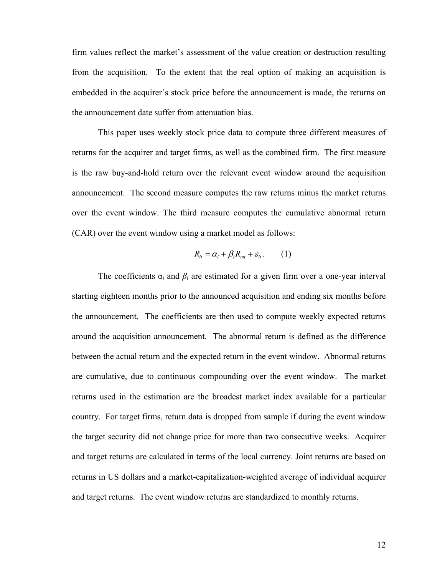firm values reflect the market's assessment of the value creation or destruction resulting from the acquisition. To the extent that the real option of making an acquisition is embedded in the acquirer's stock price before the announcement is made, the returns on the announcement date suffer from attenuation bias.

This paper uses weekly stock price data to compute three different measures of returns for the acquirer and target firms, as well as the combined firm. The first measure is the raw buy-and-hold return over the relevant event window around the acquisition announcement. The second measure computes the raw returns minus the market returns over the event window. The third measure computes the cumulative abnormal return (CAR) over the event window using a market model as follows:

$$
R_{it} = \alpha_i + \beta_i R_{mt} + \varepsilon_{it}.
$$
 (1)

The coefficients  $\alpha_i$  and  $\beta_i$  are estimated for a given firm over a one-year interval starting eighteen months prior to the announced acquisition and ending six months before the announcement. The coefficients are then used to compute weekly expected returns around the acquisition announcement. The abnormal return is defined as the difference between the actual return and the expected return in the event window. Abnormal returns are cumulative, due to continuous compounding over the event window. The market returns used in the estimation are the broadest market index available for a particular country. For target firms, return data is dropped from sample if during the event window the target security did not change price for more than two consecutive weeks. Acquirer and target returns are calculated in terms of the local currency. Joint returns are based on returns in US dollars and a market-capitalization-weighted average of individual acquirer and target returns. The event window returns are standardized to monthly returns.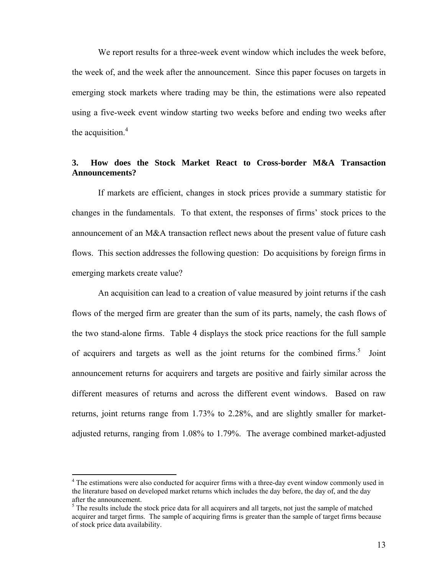We report results for a three-week event window which includes the week before, the week of, and the week after the announcement. Since this paper focuses on targets in emerging stock markets where trading may be thin, the estimations were also repeated using a five-week event window starting two weeks before and ending two weeks after the acquisition. $4$ 

### **3. How does the Stock Market React to Cross-border M&A Transaction Announcements?**

If markets are efficient, changes in stock prices provide a summary statistic for changes in the fundamentals. To that extent, the responses of firms' stock prices to the announcement of an M&A transaction reflect news about the present value of future cash flows. This section addresses the following question: Do acquisitions by foreign firms in emerging markets create value?

An acquisition can lead to a creation of value measured by joint returns if the cash flows of the merged firm are greater than the sum of its parts, namely, the cash flows of the two stand-alone firms. Table 4 displays the stock price reactions for the full sample of acquirers and targets as well as the joint returns for the combined firms.<sup>5</sup> Joint announcement returns for acquirers and targets are positive and fairly similar across the different measures of returns and across the different event windows. Based on raw returns, joint returns range from 1.73% to 2.28%, and are slightly smaller for marketadjusted returns, ranging from 1.08% to 1.79%. The average combined market-adjusted

 $\overline{a}$ 

<sup>&</sup>lt;sup>4</sup> The estimations were also conducted for acquirer firms with a three-day event window commonly used in the literature based on developed market returns which includes the day before, the day of, and the day after the announcement.

 $<sup>5</sup>$  The results include the stock price data for all acquirers and all targets, not just the sample of matched</sup> acquirer and target firms. The sample of acquiring firms is greater than the sample of target firms because of stock price data availability.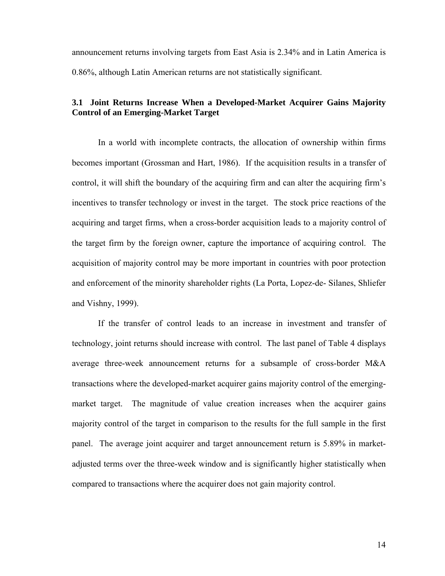announcement returns involving targets from East Asia is 2.34% and in Latin America is 0.86%, although Latin American returns are not statistically significant.

### **3.1 Joint Returns Increase When a Developed-Market Acquirer Gains Majority Control of an Emerging-Market Target**

In a world with incomplete contracts, the allocation of ownership within firms becomes important (Grossman and Hart, 1986). If the acquisition results in a transfer of control, it will shift the boundary of the acquiring firm and can alter the acquiring firm's incentives to transfer technology or invest in the target. The stock price reactions of the acquiring and target firms, when a cross-border acquisition leads to a majority control of the target firm by the foreign owner, capture the importance of acquiring control. The acquisition of majority control may be more important in countries with poor protection and enforcement of the minority shareholder rights (La Porta, Lopez-de- Silanes, Shliefer and Vishny, 1999).

If the transfer of control leads to an increase in investment and transfer of technology, joint returns should increase with control. The last panel of Table 4 displays average three-week announcement returns for a subsample of cross-border M&A transactions where the developed-market acquirer gains majority control of the emergingmarket target. The magnitude of value creation increases when the acquirer gains majority control of the target in comparison to the results for the full sample in the first panel. The average joint acquirer and target announcement return is 5.89% in marketadjusted terms over the three-week window and is significantly higher statistically when compared to transactions where the acquirer does not gain majority control.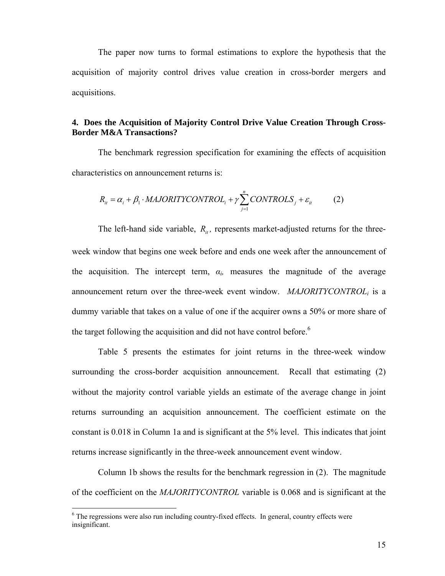The paper now turns to formal estimations to explore the hypothesis that the acquisition of majority control drives value creation in cross-border mergers and acquisitions.

### **4. Does the Acquisition of Majority Control Drive Value Creation Through Cross-Border M&A Transactions?**

The benchmark regression specification for examining the effects of acquisition characteristics on announcement returns is:

$$
R_{it} = \alpha_i + \beta_1 \cdot MAJORITYCONTROL_i + \gamma \sum_{j=1}^{n} CONTROLS_j + \varepsilon_{it}
$$
 (2)

The left-hand side variable,  $R_{it}$ , represents market-adjusted returns for the three-

week window that begins one week before and ends one week after the announcement of the acquisition. The intercept term,  $\alpha_i$ , measures the magnitude of the average announcement return over the three-week event window. *MAJORITYCONTROLi* is a dummy variable that takes on a value of one if the acquirer owns a 50% or more share of the target following the acquisition and did not have control before.<sup>6</sup>

Table 5 presents the estimates for joint returns in the three-week window surrounding the cross-border acquisition announcement. Recall that estimating (2) without the majority control variable yields an estimate of the average change in joint returns surrounding an acquisition announcement. The coefficient estimate on the constant is 0.018 in Column 1a and is significant at the 5% level. This indicates that joint returns increase significantly in the three-week announcement event window.

Column 1b shows the results for the benchmark regression in (2). The magnitude of the coefficient on the *MAJORITYCONTROL* variable is 0.068 and is significant at the

 $\overline{a}$ 

<sup>&</sup>lt;sup>6</sup> The regressions were also run including country-fixed effects. In general, country effects were insignificant.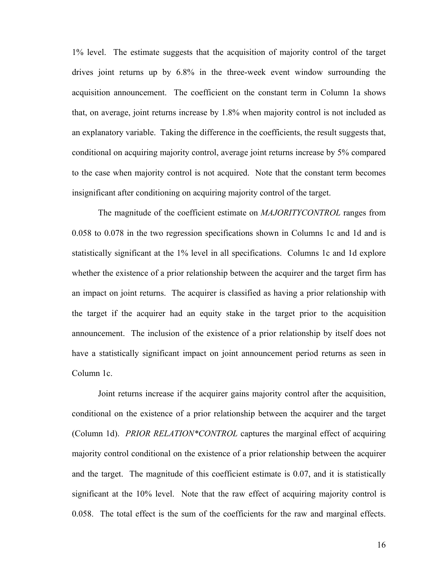1% level. The estimate suggests that the acquisition of majority control of the target drives joint returns up by 6.8% in the three-week event window surrounding the acquisition announcement. The coefficient on the constant term in Column 1a shows that, on average, joint returns increase by 1.8% when majority control is not included as an explanatory variable. Taking the difference in the coefficients, the result suggests that, conditional on acquiring majority control, average joint returns increase by 5% compared to the case when majority control is not acquired. Note that the constant term becomes insignificant after conditioning on acquiring majority control of the target.

The magnitude of the coefficient estimate on *MAJORITYCONTROL* ranges from 0.058 to 0.078 in the two regression specifications shown in Columns 1c and 1d and is statistically significant at the 1% level in all specifications. Columns 1c and 1d explore whether the existence of a prior relationship between the acquirer and the target firm has an impact on joint returns. The acquirer is classified as having a prior relationship with the target if the acquirer had an equity stake in the target prior to the acquisition announcement. The inclusion of the existence of a prior relationship by itself does not have a statistically significant impact on joint announcement period returns as seen in Column 1c.

Joint returns increase if the acquirer gains majority control after the acquisition, conditional on the existence of a prior relationship between the acquirer and the target (Column 1d). *PRIOR RELATION\*CONTROL* captures the marginal effect of acquiring majority control conditional on the existence of a prior relationship between the acquirer and the target. The magnitude of this coefficient estimate is 0.07, and it is statistically significant at the 10% level. Note that the raw effect of acquiring majority control is 0.058. The total effect is the sum of the coefficients for the raw and marginal effects.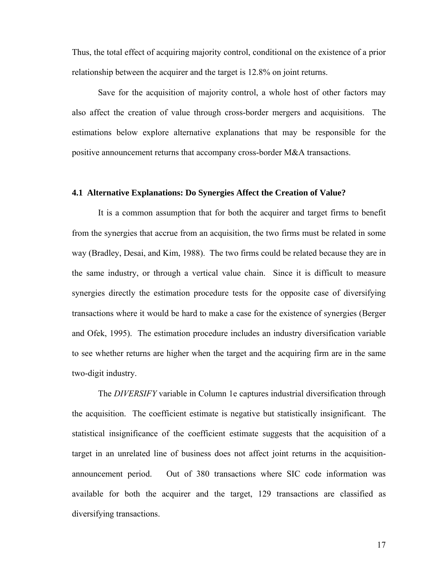Thus, the total effect of acquiring majority control, conditional on the existence of a prior relationship between the acquirer and the target is 12.8% on joint returns.

Save for the acquisition of majority control, a whole host of other factors may also affect the creation of value through cross-border mergers and acquisitions. The estimations below explore alternative explanations that may be responsible for the positive announcement returns that accompany cross-border M&A transactions.

#### **4.1 Alternative Explanations: Do Synergies Affect the Creation of Value?**

It is a common assumption that for both the acquirer and target firms to benefit from the synergies that accrue from an acquisition, the two firms must be related in some way (Bradley, Desai, and Kim, 1988). The two firms could be related because they are in the same industry, or through a vertical value chain. Since it is difficult to measure synergies directly the estimation procedure tests for the opposite case of diversifying transactions where it would be hard to make a case for the existence of synergies (Berger and Ofek, 1995). The estimation procedure includes an industry diversification variable to see whether returns are higher when the target and the acquiring firm are in the same two-digit industry.

The *DIVERSIFY* variable in Column 1e captures industrial diversification through the acquisition. The coefficient estimate is negative but statistically insignificant. The statistical insignificance of the coefficient estimate suggests that the acquisition of a target in an unrelated line of business does not affect joint returns in the acquisitionannouncement period. Out of 380 transactions where SIC code information was available for both the acquirer and the target, 129 transactions are classified as diversifying transactions.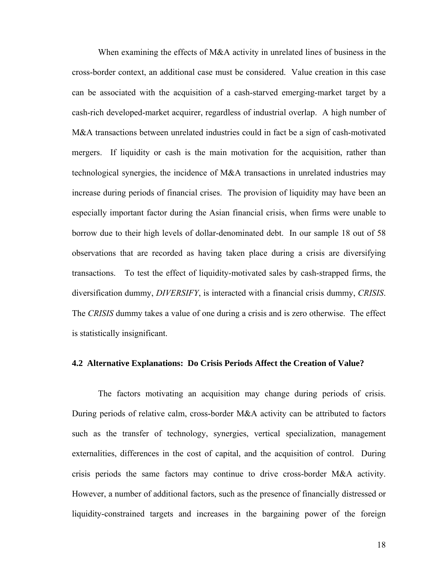When examining the effects of M&A activity in unrelated lines of business in the cross-border context, an additional case must be considered. Value creation in this case can be associated with the acquisition of a cash-starved emerging-market target by a cash-rich developed-market acquirer, regardless of industrial overlap. A high number of M&A transactions between unrelated industries could in fact be a sign of cash-motivated mergers. If liquidity or cash is the main motivation for the acquisition, rather than technological synergies, the incidence of M&A transactions in unrelated industries may increase during periods of financial crises. The provision of liquidity may have been an especially important factor during the Asian financial crisis, when firms were unable to borrow due to their high levels of dollar-denominated debt. In our sample 18 out of 58 observations that are recorded as having taken place during a crisis are diversifying transactions. To test the effect of liquidity-motivated sales by cash-strapped firms, the diversification dummy, *DIVERSIFY*, is interacted with a financial crisis dummy, *CRISIS*. The *CRISIS* dummy takes a value of one during a crisis and is zero otherwise. The effect is statistically insignificant.

#### **4.2 Alternative Explanations: Do Crisis Periods Affect the Creation of Value?**

The factors motivating an acquisition may change during periods of crisis. During periods of relative calm, cross-border M&A activity can be attributed to factors such as the transfer of technology, synergies, vertical specialization, management externalities, differences in the cost of capital, and the acquisition of control. During crisis periods the same factors may continue to drive cross-border M&A activity. However, a number of additional factors, such as the presence of financially distressed or liquidity-constrained targets and increases in the bargaining power of the foreign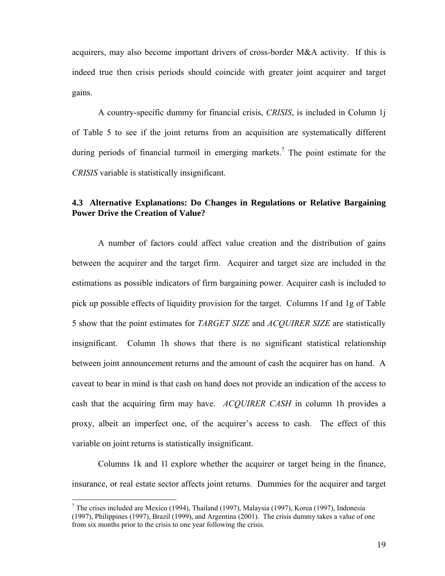acquirers, may also become important drivers of cross-border M&A activity. If this is indeed true then crisis periods should coincide with greater joint acquirer and target gains.

A country-specific dummy for financial crisis, *CRISIS*, is included in Column 1j of Table 5 to see if the joint returns from an acquisition are systematically different during periods of financial turmoil in emerging markets.<sup>7</sup> The point estimate for the *CRISIS* variable is statistically insignificant.

### **4.3 Alternative Explanations: Do Changes in Regulations or Relative Bargaining Power Drive the Creation of Value?**

A number of factors could affect value creation and the distribution of gains between the acquirer and the target firm. Acquirer and target size are included in the estimations as possible indicators of firm bargaining power. Acquirer cash is included to pick up possible effects of liquidity provision for the target. Columns 1f and 1g of Table 5 show that the point estimates for *TARGET SIZE* and *ACQUIRER SIZE* are statistically insignificant. Column 1h shows that there is no significant statistical relationship between joint announcement returns and the amount of cash the acquirer has on hand. A caveat to bear in mind is that cash on hand does not provide an indication of the access to cash that the acquiring firm may have. *ACQUIRER CASH* in column 1h provides a proxy, albeit an imperfect one, of the acquirer's access to cash. The effect of this variable on joint returns is statistically insignificant.

Columns 1k and 1l explore whether the acquirer or target being in the finance, insurance, or real estate sector affects joint returns. Dummies for the acquirer and target

 $\overline{a}$ 

<sup>&</sup>lt;sup>7</sup> The crises included are Mexico (1994), Thailand (1997), Malaysia (1997), Korea (1997), Indonesia (1997), Philippines (1997), Brazil (1999), and Argentina (2001). The crisis dummy takes a value of one from six months prior to the crisis to one year following the crisis.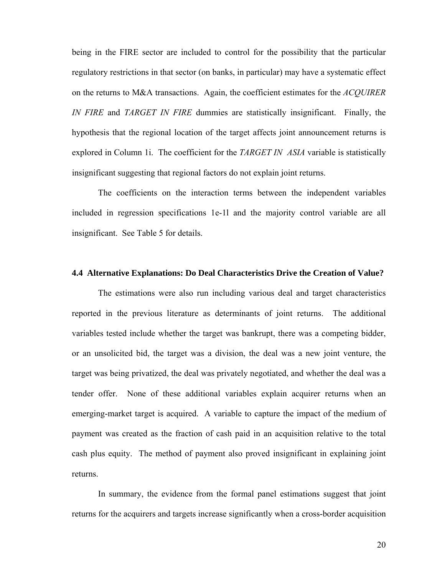being in the FIRE sector are included to control for the possibility that the particular regulatory restrictions in that sector (on banks, in particular) may have a systematic effect on the returns to M&A transactions. Again, the coefficient estimates for the *ACQUIRER IN FIRE* and *TARGET IN FIRE* dummies are statistically insignificant. Finally, the hypothesis that the regional location of the target affects joint announcement returns is explored in Column 1i. The coefficient for the *TARGET IN ASIA* variable is statistically insignificant suggesting that regional factors do not explain joint returns.

The coefficients on the interaction terms between the independent variables included in regression specifications 1e-1l and the majority control variable are all insignificant. See Table 5 for details.

#### **4.4 Alternative Explanations: Do Deal Characteristics Drive the Creation of Value?**

The estimations were also run including various deal and target characteristics reported in the previous literature as determinants of joint returns. The additional variables tested include whether the target was bankrupt, there was a competing bidder, or an unsolicited bid, the target was a division, the deal was a new joint venture, the target was being privatized, the deal was privately negotiated, and whether the deal was a tender offer. None of these additional variables explain acquirer returns when an emerging-market target is acquired. A variable to capture the impact of the medium of payment was created as the fraction of cash paid in an acquisition relative to the total cash plus equity. The method of payment also proved insignificant in explaining joint returns.

In summary, the evidence from the formal panel estimations suggest that joint returns for the acquirers and targets increase significantly when a cross-border acquisition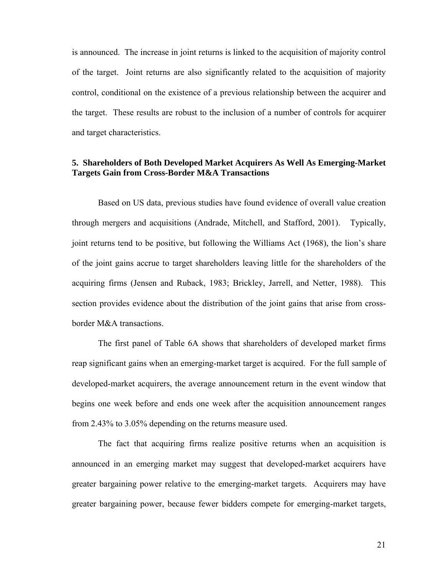is announced. The increase in joint returns is linked to the acquisition of majority control of the target. Joint returns are also significantly related to the acquisition of majority control, conditional on the existence of a previous relationship between the acquirer and the target. These results are robust to the inclusion of a number of controls for acquirer and target characteristics.

### **5. Shareholders of Both Developed Market Acquirers As Well As Emerging-Market Targets Gain from Cross-Border M&A Transactions**

Based on US data, previous studies have found evidence of overall value creation through mergers and acquisitions (Andrade, Mitchell, and Stafford, 2001). Typically, joint returns tend to be positive, but following the Williams Act (1968), the lion's share of the joint gains accrue to target shareholders leaving little for the shareholders of the acquiring firms (Jensen and Ruback, 1983; Brickley, Jarrell, and Netter, 1988). This section provides evidence about the distribution of the joint gains that arise from crossborder M&A transactions.

The first panel of Table 6A shows that shareholders of developed market firms reap significant gains when an emerging-market target is acquired. For the full sample of developed-market acquirers, the average announcement return in the event window that begins one week before and ends one week after the acquisition announcement ranges from 2.43% to 3.05% depending on the returns measure used.

The fact that acquiring firms realize positive returns when an acquisition is announced in an emerging market may suggest that developed-market acquirers have greater bargaining power relative to the emerging-market targets. Acquirers may have greater bargaining power, because fewer bidders compete for emerging-market targets,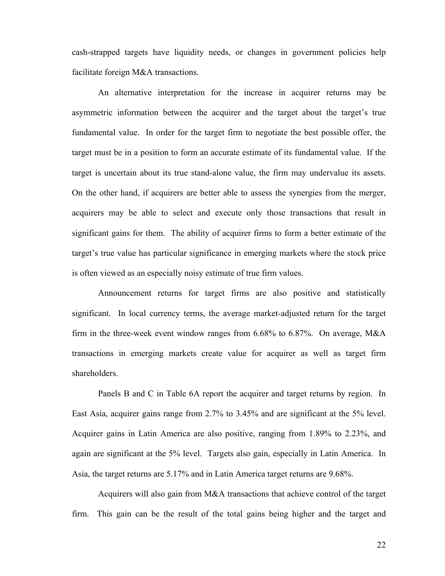cash-strapped targets have liquidity needs, or changes in government policies help facilitate foreign M&A transactions.

An alternative interpretation for the increase in acquirer returns may be asymmetric information between the acquirer and the target about the target's true fundamental value. In order for the target firm to negotiate the best possible offer, the target must be in a position to form an accurate estimate of its fundamental value. If the target is uncertain about its true stand-alone value, the firm may undervalue its assets. On the other hand, if acquirers are better able to assess the synergies from the merger, acquirers may be able to select and execute only those transactions that result in significant gains for them. The ability of acquirer firms to form a better estimate of the target's true value has particular significance in emerging markets where the stock price is often viewed as an especially noisy estimate of true firm values.

Announcement returns for target firms are also positive and statistically significant. In local currency terms, the average market-adjusted return for the target firm in the three-week event window ranges from 6.68% to 6.87%. On average, M&A transactions in emerging markets create value for acquirer as well as target firm shareholders.

Panels B and C in Table 6A report the acquirer and target returns by region. In East Asia, acquirer gains range from 2.7% to 3.45% and are significant at the 5% level. Acquirer gains in Latin America are also positive, ranging from 1.89% to 2.23%, and again are significant at the 5% level. Targets also gain, especially in Latin America. In Asia, the target returns are 5.17% and in Latin America target returns are 9.68%.

Acquirers will also gain from M&A transactions that achieve control of the target firm. This gain can be the result of the total gains being higher and the target and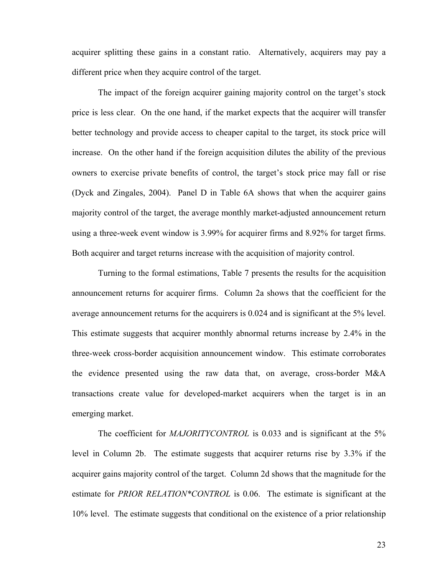acquirer splitting these gains in a constant ratio. Alternatively, acquirers may pay a different price when they acquire control of the target.

The impact of the foreign acquirer gaining majority control on the target's stock price is less clear. On the one hand, if the market expects that the acquirer will transfer better technology and provide access to cheaper capital to the target, its stock price will increase. On the other hand if the foreign acquisition dilutes the ability of the previous owners to exercise private benefits of control, the target's stock price may fall or rise (Dyck and Zingales, 2004). Panel D in Table 6A shows that when the acquirer gains majority control of the target, the average monthly market-adjusted announcement return using a three-week event window is 3.99% for acquirer firms and 8.92% for target firms. Both acquirer and target returns increase with the acquisition of majority control.

Turning to the formal estimations, Table 7 presents the results for the acquisition announcement returns for acquirer firms. Column 2a shows that the coefficient for the average announcement returns for the acquirers is 0.024 and is significant at the 5% level. This estimate suggests that acquirer monthly abnormal returns increase by 2.4% in the three-week cross-border acquisition announcement window. This estimate corroborates the evidence presented using the raw data that, on average, cross-border M&A transactions create value for developed-market acquirers when the target is in an emerging market.

The coefficient for *MAJORITYCONTROL* is 0.033 and is significant at the 5% level in Column 2b. The estimate suggests that acquirer returns rise by 3.3% if the acquirer gains majority control of the target. Column 2d shows that the magnitude for the estimate for *PRIOR RELATION\*CONTROL* is 0.06. The estimate is significant at the 10% level. The estimate suggests that conditional on the existence of a prior relationship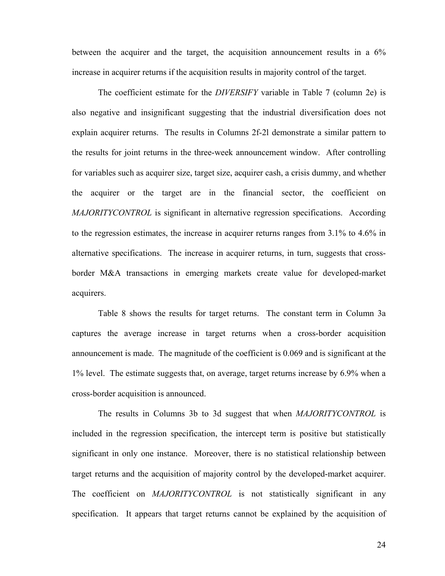between the acquirer and the target, the acquisition announcement results in a 6% increase in acquirer returns if the acquisition results in majority control of the target.

The coefficient estimate for the *DIVERSIFY* variable in Table 7 (column 2e) is also negative and insignificant suggesting that the industrial diversification does not explain acquirer returns. The results in Columns 2f-2l demonstrate a similar pattern to the results for joint returns in the three-week announcement window. After controlling for variables such as acquirer size, target size, acquirer cash, a crisis dummy, and whether the acquirer or the target are in the financial sector, the coefficient on *MAJORITYCONTROL* is significant in alternative regression specifications. According to the regression estimates, the increase in acquirer returns ranges from 3.1% to 4.6% in alternative specifications. The increase in acquirer returns, in turn, suggests that crossborder M&A transactions in emerging markets create value for developed-market acquirers.

Table 8 shows the results for target returns. The constant term in Column 3a captures the average increase in target returns when a cross-border acquisition announcement is made. The magnitude of the coefficient is 0.069 and is significant at the 1% level. The estimate suggests that, on average, target returns increase by 6.9% when a cross-border acquisition is announced.

The results in Columns 3b to 3d suggest that when *MAJORITYCONTROL* is included in the regression specification, the intercept term is positive but statistically significant in only one instance. Moreover, there is no statistical relationship between target returns and the acquisition of majority control by the developed-market acquirer. The coefficient on *MAJORITYCONTROL* is not statistically significant in any specification. It appears that target returns cannot be explained by the acquisition of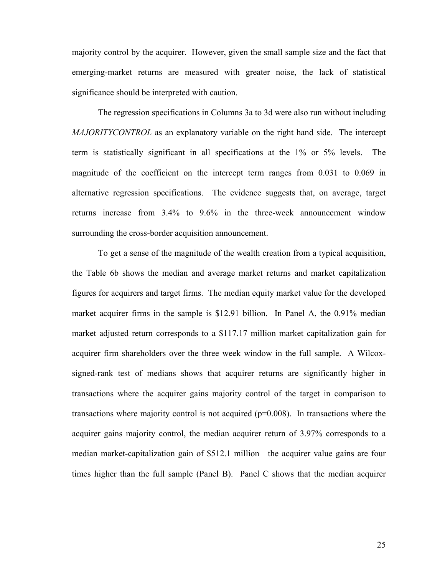majority control by the acquirer. However, given the small sample size and the fact that emerging-market returns are measured with greater noise, the lack of statistical significance should be interpreted with caution.

The regression specifications in Columns 3a to 3d were also run without including *MAJORITYCONTROL* as an explanatory variable on the right hand side. The intercept term is statistically significant in all specifications at the 1% or 5% levels. The magnitude of the coefficient on the intercept term ranges from 0.031 to 0.069 in alternative regression specifications. The evidence suggests that, on average, target returns increase from 3.4% to 9.6% in the three-week announcement window surrounding the cross-border acquisition announcement.

To get a sense of the magnitude of the wealth creation from a typical acquisition, the Table 6b shows the median and average market returns and market capitalization figures for acquirers and target firms. The median equity market value for the developed market acquirer firms in the sample is \$12.91 billion. In Panel A, the 0.91% median market adjusted return corresponds to a \$117.17 million market capitalization gain for acquirer firm shareholders over the three week window in the full sample. A Wilcoxsigned-rank test of medians shows that acquirer returns are significantly higher in transactions where the acquirer gains majority control of the target in comparison to transactions where majority control is not acquired (p=0.008). In transactions where the acquirer gains majority control, the median acquirer return of 3.97% corresponds to a median market-capitalization gain of \$512.1 million—the acquirer value gains are four times higher than the full sample (Panel B). Panel C shows that the median acquirer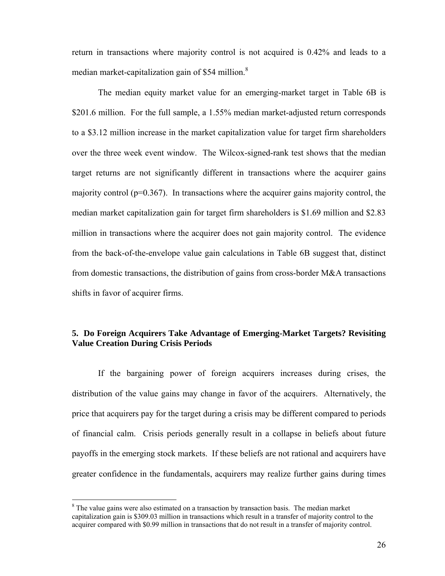return in transactions where majority control is not acquired is 0.42% and leads to a median market-capitalization gain of \$54 million. $8^{\circ}$ 

The median equity market value for an emerging-market target in Table 6B is \$201.6 million. For the full sample, a 1.55% median market-adjusted return corresponds to a \$3.12 million increase in the market capitalization value for target firm shareholders over the three week event window. The Wilcox-signed-rank test shows that the median target returns are not significantly different in transactions where the acquirer gains majority control ( $p=0.367$ ). In transactions where the acquirer gains majority control, the median market capitalization gain for target firm shareholders is \$1.69 million and \$2.83 million in transactions where the acquirer does not gain majority control. The evidence from the back-of-the-envelope value gain calculations in Table 6B suggest that, distinct from domestic transactions, the distribution of gains from cross-border M&A transactions shifts in favor of acquirer firms.

### **5. Do Foreign Acquirers Take Advantage of Emerging-Market Targets? Revisiting Value Creation During Crisis Periods**

If the bargaining power of foreign acquirers increases during crises, the distribution of the value gains may change in favor of the acquirers. Alternatively, the price that acquirers pay for the target during a crisis may be different compared to periods of financial calm. Crisis periods generally result in a collapse in beliefs about future payoffs in the emerging stock markets. If these beliefs are not rational and acquirers have greater confidence in the fundamentals, acquirers may realize further gains during times

 $\overline{a}$ 

 $8$  The value gains were also estimated on a transaction by transaction basis. The median market capitalization gain is \$309.03 million in transactions which result in a transfer of majority control to the acquirer compared with \$0.99 million in transactions that do not result in a transfer of majority control.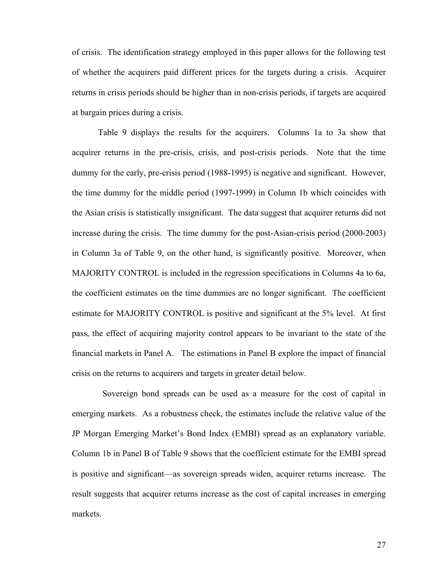of crisis. The identification strategy employed in this paper allows for the following test of whether the acquirers paid different prices for the targets during a crisis. Acquirer returns in crisis periods should be higher than in non-crisis periods, if targets are acquired at bargain prices during a crisis.

Table 9 displays the results for the acquirers. Columns 1a to 3a show that acquirer returns in the pre-crisis, crisis, and post-crisis periods. Note that the time dummy for the early, pre-crisis period (1988-1995) is negative and significant. However, the time dummy for the middle period (1997-1999) in Column 1b which coincides with the Asian crisis is statistically insignificant. The data suggest that acquirer returns did not increase during the crisis. The time dummy for the post-Asian-crisis period (2000-2003) in Column 3a of Table 9, on the other hand, is significantly positive. Moreover, when MAJORITY CONTROL is included in the regression specifications in Columns 4a to 6a, the coefficient estimates on the time dummies are no longer significant. The coefficient estimate for MAJORITY CONTROL is positive and significant at the 5% level. At first pass, the effect of acquiring majority control appears to be invariant to the state of the financial markets in Panel A. The estimations in Panel B explore the impact of financial crisis on the returns to acquirers and targets in greater detail below.

 Sovereign bond spreads can be used as a measure for the cost of capital in emerging markets. As a robustness check, the estimates include the relative value of the JP Morgan Emerging Market's Bond Index (EMBI) spread as an explanatory variable. Column 1b in Panel B of Table 9 shows that the coefficient estimate for the EMBI spread is positive and significant—as sovereign spreads widen, acquirer returns increase. The result suggests that acquirer returns increase as the cost of capital increases in emerging markets.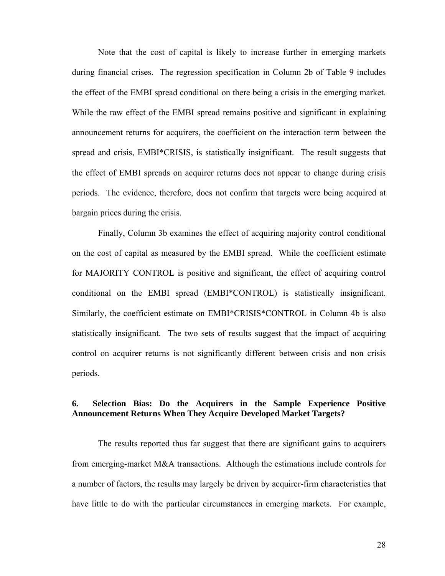Note that the cost of capital is likely to increase further in emerging markets during financial crises. The regression specification in Column 2b of Table 9 includes the effect of the EMBI spread conditional on there being a crisis in the emerging market. While the raw effect of the EMBI spread remains positive and significant in explaining announcement returns for acquirers, the coefficient on the interaction term between the spread and crisis, EMBI\*CRISIS, is statistically insignificant. The result suggests that the effect of EMBI spreads on acquirer returns does not appear to change during crisis periods. The evidence, therefore, does not confirm that targets were being acquired at bargain prices during the crisis.

Finally, Column 3b examines the effect of acquiring majority control conditional on the cost of capital as measured by the EMBI spread. While the coefficient estimate for MAJORITY CONTROL is positive and significant, the effect of acquiring control conditional on the EMBI spread (EMBI\*CONTROL) is statistically insignificant. Similarly, the coefficient estimate on EMBI\*CRISIS\*CONTROL in Column 4b is also statistically insignificant. The two sets of results suggest that the impact of acquiring control on acquirer returns is not significantly different between crisis and non crisis periods.

### **6. Selection Bias: Do the Acquirers in the Sample Experience Positive Announcement Returns When They Acquire Developed Market Targets?**

The results reported thus far suggest that there are significant gains to acquirers from emerging-market M&A transactions. Although the estimations include controls for a number of factors, the results may largely be driven by acquirer-firm characteristics that have little to do with the particular circumstances in emerging markets. For example,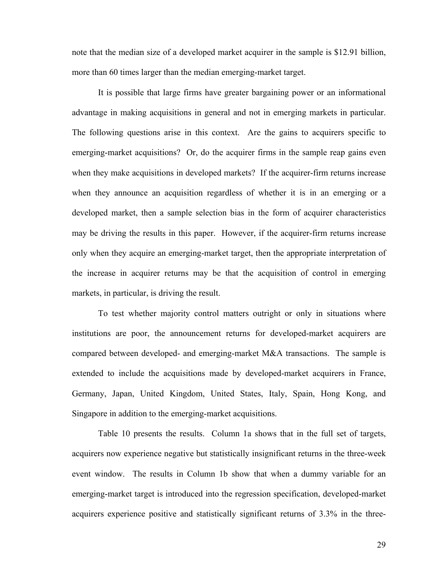note that the median size of a developed market acquirer in the sample is \$12.91 billion, more than 60 times larger than the median emerging-market target.

It is possible that large firms have greater bargaining power or an informational advantage in making acquisitions in general and not in emerging markets in particular. The following questions arise in this context. Are the gains to acquirers specific to emerging-market acquisitions? Or, do the acquirer firms in the sample reap gains even when they make acquisitions in developed markets? If the acquirer-firm returns increase when they announce an acquisition regardless of whether it is in an emerging or a developed market, then a sample selection bias in the form of acquirer characteristics may be driving the results in this paper. However, if the acquirer-firm returns increase only when they acquire an emerging-market target, then the appropriate interpretation of the increase in acquirer returns may be that the acquisition of control in emerging markets, in particular, is driving the result.

To test whether majority control matters outright or only in situations where institutions are poor, the announcement returns for developed-market acquirers are compared between developed- and emerging-market M&A transactions. The sample is extended to include the acquisitions made by developed-market acquirers in France, Germany, Japan, United Kingdom, United States, Italy, Spain, Hong Kong, and Singapore in addition to the emerging-market acquisitions.

Table 10 presents the results. Column 1a shows that in the full set of targets, acquirers now experience negative but statistically insignificant returns in the three-week event window. The results in Column 1b show that when a dummy variable for an emerging-market target is introduced into the regression specification, developed-market acquirers experience positive and statistically significant returns of 3.3% in the three-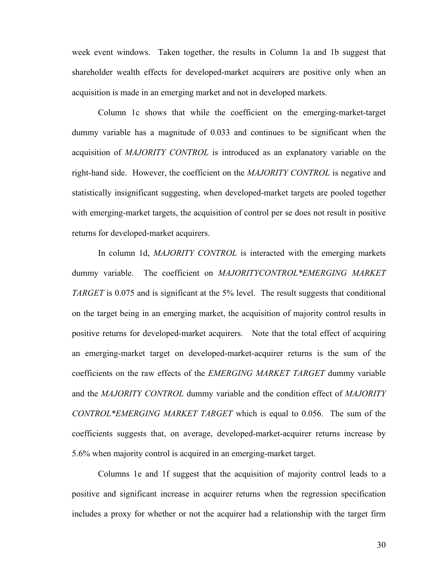week event windows. Taken together, the results in Column 1a and 1b suggest that shareholder wealth effects for developed-market acquirers are positive only when an acquisition is made in an emerging market and not in developed markets.

Column 1c shows that while the coefficient on the emerging-market-target dummy variable has a magnitude of 0.033 and continues to be significant when the acquisition of *MAJORITY CONTROL* is introduced as an explanatory variable on the right-hand side. However, the coefficient on the *MAJORITY CONTROL* is negative and statistically insignificant suggesting, when developed-market targets are pooled together with emerging-market targets, the acquisition of control per se does not result in positive returns for developed-market acquirers.

In column 1d, *MAJORITY CONTROL* is interacted with the emerging markets dummy variable. The coefficient on *MAJORITYCONTROL\*EMERGING MARKET TARGET* is 0.075 and is significant at the 5% level. The result suggests that conditional on the target being in an emerging market, the acquisition of majority control results in positive returns for developed-market acquirers. Note that the total effect of acquiring an emerging-market target on developed-market-acquirer returns is the sum of the coefficients on the raw effects of the *EMERGING MARKET TARGET* dummy variable and the *MAJORITY CONTROL* dummy variable and the condition effect of *MAJORITY CONTROL\*EMERGING MARKET TARGET* which is equal to 0.056. The sum of the coefficients suggests that, on average, developed-market-acquirer returns increase by 5.6% when majority control is acquired in an emerging-market target.

Columns 1e and 1f suggest that the acquisition of majority control leads to a positive and significant increase in acquirer returns when the regression specification includes a proxy for whether or not the acquirer had a relationship with the target firm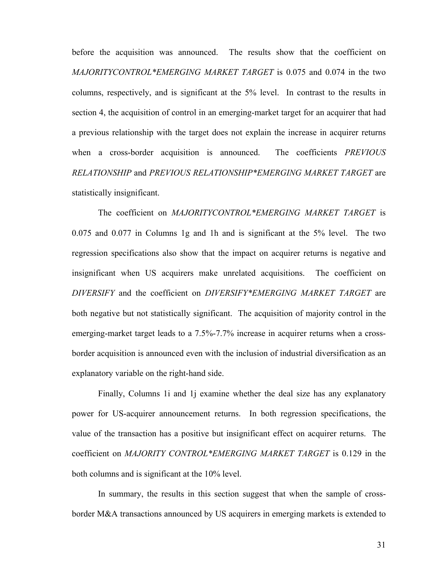before the acquisition was announced. The results show that the coefficient on *MAJORITYCONTROL\*EMERGING MARKET TARGET* is 0.075 and 0.074 in the two columns, respectively, and is significant at the 5% level. In contrast to the results in section 4, the acquisition of control in an emerging-market target for an acquirer that had a previous relationship with the target does not explain the increase in acquirer returns when a cross-border acquisition is announced. The coefficients *PREVIOUS RELATIONSHIP* and *PREVIOUS RELATIONSHIP\*EMERGING MARKET TARGET* are statistically insignificant.

The coefficient on *MAJORITYCONTROL\*EMERGING MARKET TARGET* is 0.075 and 0.077 in Columns 1g and 1h and is significant at the 5% level. The two regression specifications also show that the impact on acquirer returns is negative and insignificant when US acquirers make unrelated acquisitions. The coefficient on *DIVERSIFY* and the coefficient on *DIVERSIFY\*EMERGING MARKET TARGET* are both negative but not statistically significant. The acquisition of majority control in the emerging-market target leads to a 7.5%-7.7% increase in acquirer returns when a crossborder acquisition is announced even with the inclusion of industrial diversification as an explanatory variable on the right-hand side.

Finally, Columns 1i and 1j examine whether the deal size has any explanatory power for US-acquirer announcement returns. In both regression specifications, the value of the transaction has a positive but insignificant effect on acquirer returns. The coefficient on *MAJORITY CONTROL\*EMERGING MARKET TARGET* is 0.129 in the both columns and is significant at the 10% level.

In summary, the results in this section suggest that when the sample of crossborder M&A transactions announced by US acquirers in emerging markets is extended to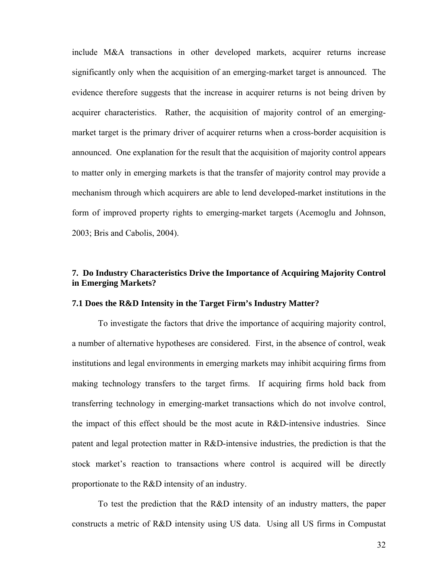include M&A transactions in other developed markets, acquirer returns increase significantly only when the acquisition of an emerging-market target is announced. The evidence therefore suggests that the increase in acquirer returns is not being driven by acquirer characteristics. Rather, the acquisition of majority control of an emergingmarket target is the primary driver of acquirer returns when a cross-border acquisition is announced. One explanation for the result that the acquisition of majority control appears to matter only in emerging markets is that the transfer of majority control may provide a mechanism through which acquirers are able to lend developed-market institutions in the form of improved property rights to emerging-market targets (Acemoglu and Johnson, 2003; Bris and Cabolis, 2004).

### **7. Do Industry Characteristics Drive the Importance of Acquiring Majority Control in Emerging Markets?**

#### **7.1 Does the R&D Intensity in the Target Firm's Industry Matter?**

To investigate the factors that drive the importance of acquiring majority control, a number of alternative hypotheses are considered. First, in the absence of control, weak institutions and legal environments in emerging markets may inhibit acquiring firms from making technology transfers to the target firms. If acquiring firms hold back from transferring technology in emerging-market transactions which do not involve control, the impact of this effect should be the most acute in R&D-intensive industries. Since patent and legal protection matter in R&D-intensive industries, the prediction is that the stock market's reaction to transactions where control is acquired will be directly proportionate to the R&D intensity of an industry.

To test the prediction that the R&D intensity of an industry matters, the paper constructs a metric of R&D intensity using US data. Using all US firms in Compustat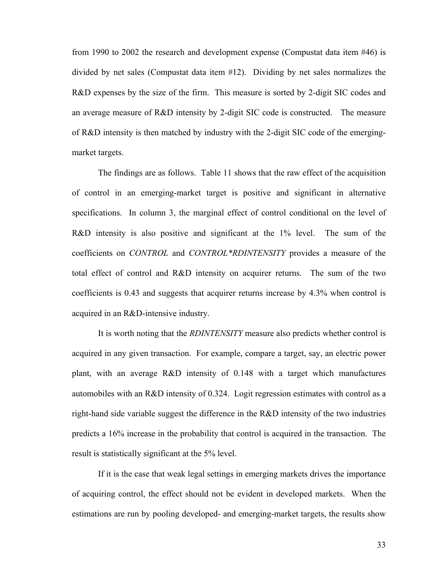from 1990 to 2002 the research and development expense (Compustat data item #46) is divided by net sales (Compustat data item #12). Dividing by net sales normalizes the R&D expenses by the size of the firm. This measure is sorted by 2-digit SIC codes and an average measure of R&D intensity by 2-digit SIC code is constructed. The measure of R&D intensity is then matched by industry with the 2-digit SIC code of the emergingmarket targets.

The findings are as follows. Table 11 shows that the raw effect of the acquisition of control in an emerging-market target is positive and significant in alternative specifications. In column 3, the marginal effect of control conditional on the level of R&D intensity is also positive and significant at the 1% level. The sum of the coefficients on *CONTROL* and *CONTROL\*RDINTENSITY* provides a measure of the total effect of control and R&D intensity on acquirer returns. The sum of the two coefficients is 0.43 and suggests that acquirer returns increase by 4.3% when control is acquired in an R&D-intensive industry.

It is worth noting that the *RDINTENSITY* measure also predicts whether control is acquired in any given transaction. For example, compare a target, say, an electric power plant, with an average R&D intensity of 0.148 with a target which manufactures automobiles with an R&D intensity of 0.324. Logit regression estimates with control as a right-hand side variable suggest the difference in the R&D intensity of the two industries predicts a 16% increase in the probability that control is acquired in the transaction. The result is statistically significant at the 5% level.

If it is the case that weak legal settings in emerging markets drives the importance of acquiring control, the effect should not be evident in developed markets. When the estimations are run by pooling developed- and emerging-market targets, the results show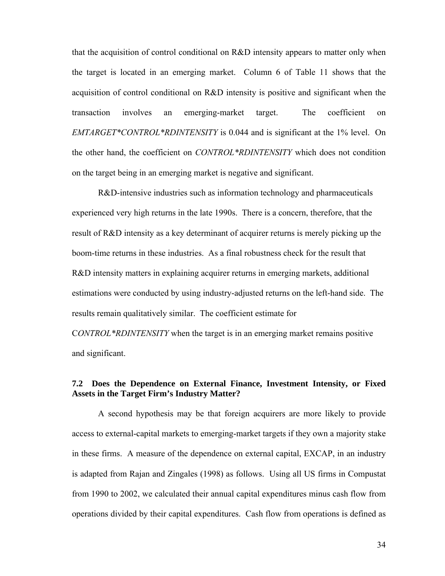that the acquisition of control conditional on R&D intensity appears to matter only when the target is located in an emerging market. Column 6 of Table 11 shows that the acquisition of control conditional on R&D intensity is positive and significant when the transaction involves an emerging-market target. The coefficient on *EMTARGET\*CONTROL\*RDINTENSITY* is 0.044 and is significant at the 1% level. On the other hand, the coefficient on *CONTROL\*RDINTENSITY* which does not condition on the target being in an emerging market is negative and significant.

R&D-intensive industries such as information technology and pharmaceuticals experienced very high returns in the late 1990s. There is a concern, therefore, that the result of R&D intensity as a key determinant of acquirer returns is merely picking up the boom-time returns in these industries. As a final robustness check for the result that R&D intensity matters in explaining acquirer returns in emerging markets, additional estimations were conducted by using industry-adjusted returns on the left-hand side. The results remain qualitatively similar. The coefficient estimate for

C*ONTROL\*RDINTENSITY* when the target is in an emerging market remains positive and significant.

### **7.2 Does the Dependence on External Finance, Investment Intensity, or Fixed Assets in the Target Firm's Industry Matter?**

A second hypothesis may be that foreign acquirers are more likely to provide access to external-capital markets to emerging-market targets if they own a majority stake in these firms. A measure of the dependence on external capital, EXCAP, in an industry is adapted from Rajan and Zingales (1998) as follows. Using all US firms in Compustat from 1990 to 2002, we calculated their annual capital expenditures minus cash flow from operations divided by their capital expenditures. Cash flow from operations is defined as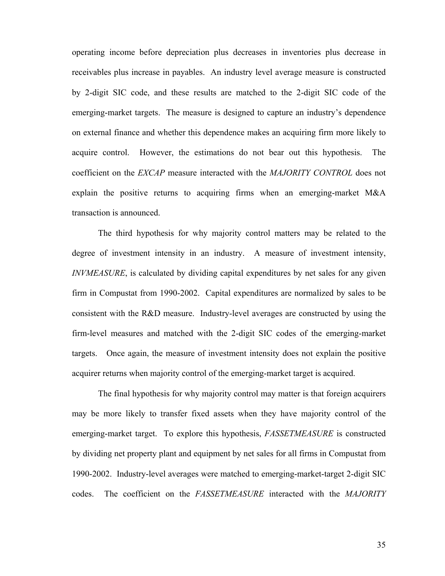operating income before depreciation plus decreases in inventories plus decrease in receivables plus increase in payables. An industry level average measure is constructed by 2-digit SIC code, and these results are matched to the 2-digit SIC code of the emerging-market targets. The measure is designed to capture an industry's dependence on external finance and whether this dependence makes an acquiring firm more likely to acquire control. However, the estimations do not bear out this hypothesis. The coefficient on the *EXCAP* measure interacted with the *MAJORITY CONTROL* does not explain the positive returns to acquiring firms when an emerging-market M&A transaction is announced.

The third hypothesis for why majority control matters may be related to the degree of investment intensity in an industry. A measure of investment intensity, *INVMEASURE*, is calculated by dividing capital expenditures by net sales for any given firm in Compustat from 1990-2002. Capital expenditures are normalized by sales to be consistent with the R&D measure. Industry-level averages are constructed by using the firm-level measures and matched with the 2-digit SIC codes of the emerging-market targets. Once again, the measure of investment intensity does not explain the positive acquirer returns when majority control of the emerging-market target is acquired.

The final hypothesis for why majority control may matter is that foreign acquirers may be more likely to transfer fixed assets when they have majority control of the emerging-market target. To explore this hypothesis, *FASSETMEASURE* is constructed by dividing net property plant and equipment by net sales for all firms in Compustat from 1990-2002. Industry-level averages were matched to emerging-market-target 2-digit SIC codes. The coefficient on the *FASSETMEASURE* interacted with the *MAJORITY*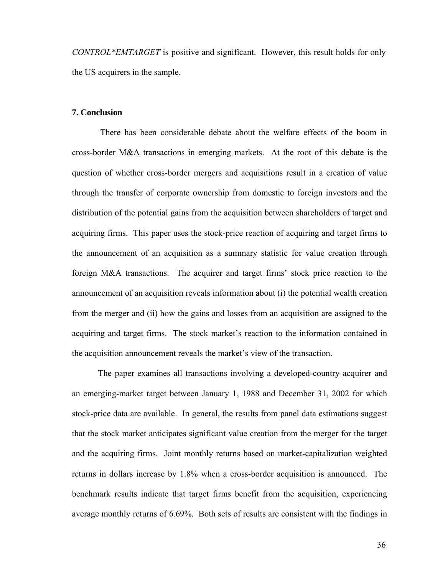*CONTROL\*EMTARGET* is positive and significant. However, this result holds for only the US acquirers in the sample.

### **7. Conclusion**

 There has been considerable debate about the welfare effects of the boom in cross-border M&A transactions in emerging markets. At the root of this debate is the question of whether cross-border mergers and acquisitions result in a creation of value through the transfer of corporate ownership from domestic to foreign investors and the distribution of the potential gains from the acquisition between shareholders of target and acquiring firms. This paper uses the stock-price reaction of acquiring and target firms to the announcement of an acquisition as a summary statistic for value creation through foreign M&A transactions. The acquirer and target firms' stock price reaction to the announcement of an acquisition reveals information about (i) the potential wealth creation from the merger and (ii) how the gains and losses from an acquisition are assigned to the acquiring and target firms. The stock market's reaction to the information contained in the acquisition announcement reveals the market's view of the transaction.

The paper examines all transactions involving a developed-country acquirer and an emerging-market target between January 1, 1988 and December 31, 2002 for which stock-price data are available. In general, the results from panel data estimations suggest that the stock market anticipates significant value creation from the merger for the target and the acquiring firms. Joint monthly returns based on market-capitalization weighted returns in dollars increase by 1.8% when a cross-border acquisition is announced. The benchmark results indicate that target firms benefit from the acquisition, experiencing average monthly returns of 6.69%. Both sets of results are consistent with the findings in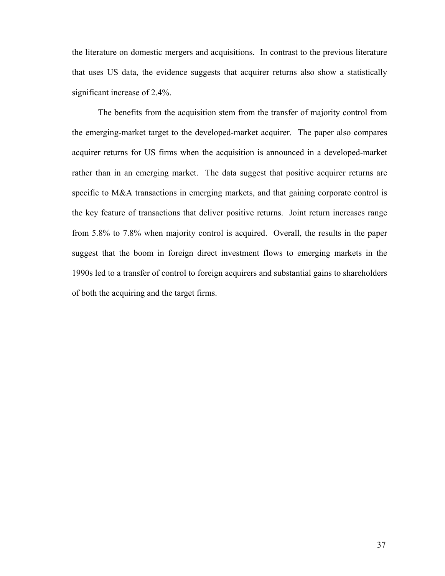the literature on domestic mergers and acquisitions. In contrast to the previous literature that uses US data, the evidence suggests that acquirer returns also show a statistically significant increase of 2.4%.

The benefits from the acquisition stem from the transfer of majority control from the emerging-market target to the developed-market acquirer. The paper also compares acquirer returns for US firms when the acquisition is announced in a developed-market rather than in an emerging market. The data suggest that positive acquirer returns are specific to M&A transactions in emerging markets, and that gaining corporate control is the key feature of transactions that deliver positive returns. Joint return increases range from 5.8% to 7.8% when majority control is acquired. Overall, the results in the paper suggest that the boom in foreign direct investment flows to emerging markets in the 1990s led to a transfer of control to foreign acquirers and substantial gains to shareholders of both the acquiring and the target firms.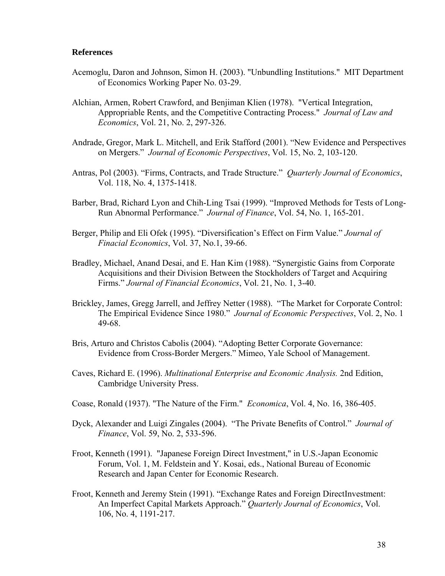#### **References**

- Acemoglu, Daron and Johnson, Simon H. (2003). "Unbundling Institutions." MIT Department of Economics Working Paper No. 03-29.
- Alchian, Armen, Robert Crawford, and Benjiman Klien (1978). "Vertical Integration, Appropriable Rents, and the Competitive Contracting Process." *Journal of Law and Economics*, Vol. 21, No. 2, 297-326.
- Andrade, Gregor, Mark L. Mitchell, and Erik Stafford (2001). "New Evidence and Perspectives on Mergers." *Journal of Economic Perspectives*, Vol. 15, No. 2, 103-120.
- Antras, Pol (2003). "Firms, Contracts, and Trade Structure." *Quarterly Journal of Economics*, Vol. 118, No. 4, 1375-1418.
- Barber, Brad, Richard Lyon and Chih-Ling Tsai (1999). "Improved Methods for Tests of Long-Run Abnormal Performance." *Journal of Finance*, Vol. 54, No. 1, 165-201.
- Berger, Philip and Eli Ofek (1995). "Diversification's Effect on Firm Value." *Journal of Finacial Economics*, Vol. 37, No.1, 39-66.
- Bradley, Michael, Anand Desai, and E. Han Kim (1988). "Synergistic Gains from Corporate Acquisitions and their Division Between the Stockholders of Target and Acquiring Firms." *Journal of Financial Economics*, Vol. 21, No. 1, 3-40.
- Brickley, James, Gregg Jarrell, and Jeffrey Netter (1988). "The Market for Corporate Control: The Empirical Evidence Since 1980." *Journal of Economic Perspectives*, Vol. 2, No. 1 49-68.
- Bris, Arturo and Christos Cabolis (2004). "Adopting Better Corporate Governance: Evidence from Cross-Border Mergers." Mimeo, Yale School of Management.
- Caves, Richard E. (1996). *Multinational Enterprise and Economic Analysis.* 2nd Edition, Cambridge University Press.
- Coase, Ronald (1937). "The Nature of the Firm." *Economica*, Vol. 4, No. 16, 386-405.
- Dyck, Alexander and Luigi Zingales (2004). "The Private Benefits of Control." *Journal of Finance*, Vol. 59, No. 2, 533-596.
- Froot, Kenneth (1991). "Japanese Foreign Direct Investment," in U.S.-Japan Economic Forum, Vol. 1, M. Feldstein and Y. Kosai, eds., National Bureau of Economic Research and Japan Center for Economic Research.
- Froot, Kenneth and Jeremy Stein (1991). "Exchange Rates and Foreign DirectInvestment: An Imperfect Capital Markets Approach." *Quarterly Journal of Economics*, Vol. 106, No. 4, 1191-217.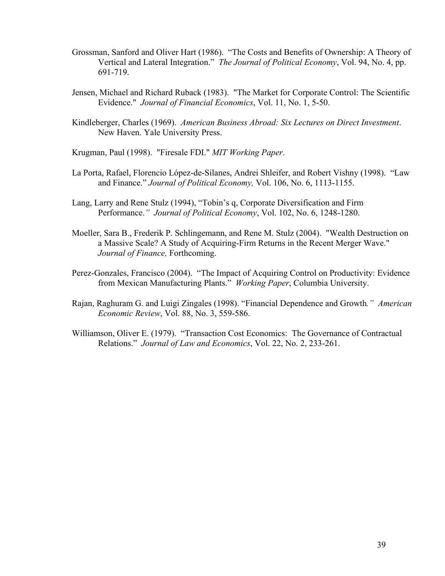- Grossman, Sanford and Oliver Hart (1986). "The Costs and Benefits of Ownership: A Theory of Vertical and Lateral Integration." *The Journal of Political Economy*, Vol. 94, No. 4, pp. 691-719.
- Jensen, Michael and Richard Ruback (1983). "The Market for Corporate Control: The Scientific Evidence." *Journal of Financial Economics*, Vol. 11, No. 1, 5-50.
- Kindleberger, Charles (1969). *American Business Abroad: Six Lectures on Direct Investment*. New Haven. Yale University Press.
- Krugman, Paul (1998). "Firesale FDI." *MIT Working Paper*.
- La Porta, Rafael, Florencio López-de-Silanes, Andrei Shleifer, and Robert Vishny (1998). "Law and Finance." *Journal of Political Economy,* Vol. 106, No. 6, 1113-1155.
- Lang, Larry and Rene Stulz (1994), "Tobin's q, Corporate Diversification and Firm Performance.*" Journal of Political Economy*, Vol. 102, No. 6, 1248-1280.
- Moeller, Sara B., Frederik P. Schlingemann, and Rene M. Stulz (2004). "Wealth Destruction on a Massive Scale? A Study of Acquiring-Firm Returns in the Recent Merger Wave." *Journal of Finance,* Forthcoming.
- Perez-Gonzales, Francisco (2004). "The Impact of Acquiring Control on Productivity: Evidence from Mexican Manufacturing Plants." *Working Paper*, Columbia University.
- Rajan, Raghuram G. and Luigi Zingales (1998). "Financial Dependence and Growth*." American Economic Review*, Vol. 88, No. 3, 559-586.
- Williamson, Oliver E. (1979). "Transaction Cost Economics: The Governance of Contractual Relations." *Journal of Law and Economics*, Vol. 22, No. 2, 233-261.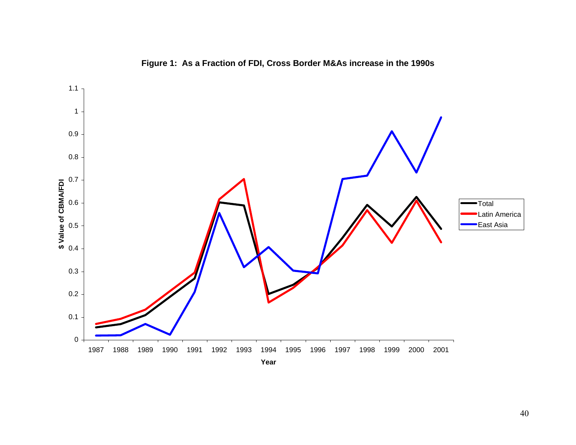

**Figure 1: As a Fraction of FDI, Cross Border M&As increase in the 1990s**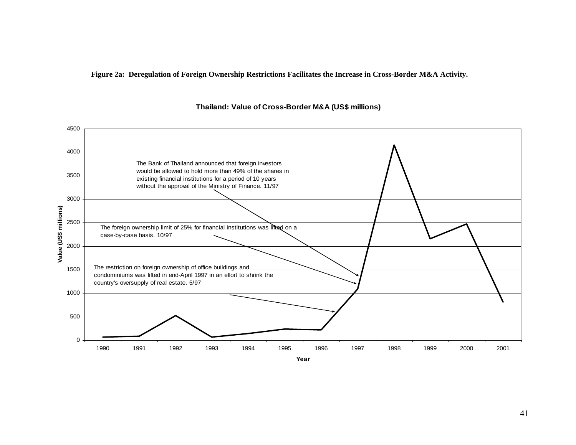**Figure 2a: Deregulation of Foreign Ownership Restrictions Facilitates the Increase in Cross-Border M&A Activity.** 



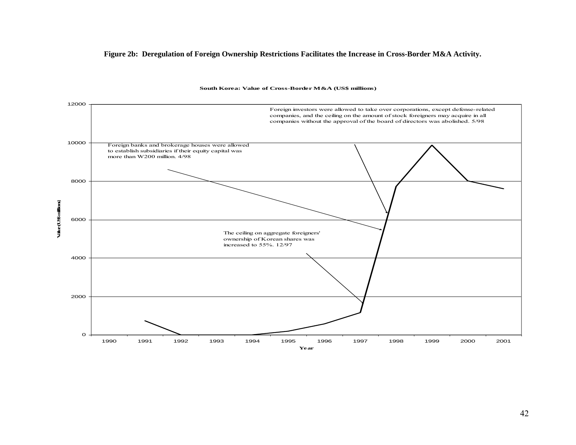#### **Figure 2b: Deregulation of Foreign Ownership Restrictions Facilitates the Increase in Cross-Border M&A Activity.**



#### **South Korea: Value of Cross-Border M&A (US\$ millions)**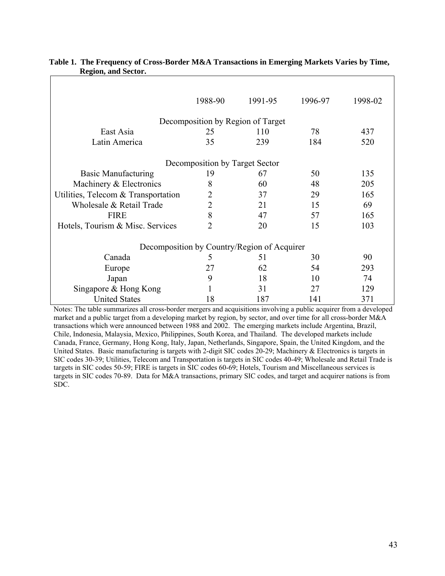|                                     | 1988-90                        | 1991-95                                     | 1996-97 | 1998-02 |  |  |  |  |  |  |
|-------------------------------------|--------------------------------|---------------------------------------------|---------|---------|--|--|--|--|--|--|
| Decomposition by Region of Target   |                                |                                             |         |         |  |  |  |  |  |  |
| East Asia                           | 25                             | 110                                         | 78      | 437     |  |  |  |  |  |  |
| Latin America                       | 35                             | 239                                         | 184     | 520     |  |  |  |  |  |  |
|                                     | Decomposition by Target Sector |                                             |         |         |  |  |  |  |  |  |
| <b>Basic Manufacturing</b>          | 19                             | 67                                          | 50      | 135     |  |  |  |  |  |  |
| Machinery & Electronics             | 8<br>60                        |                                             | 48      | 205     |  |  |  |  |  |  |
| Utilities, Telecom & Transportation | $\overline{2}$                 | 37                                          | 29      | 165     |  |  |  |  |  |  |
| Wholesale & Retail Trade            | $\overline{2}$                 | 21                                          | 15      | 69      |  |  |  |  |  |  |
| <b>FIRE</b>                         | 8                              | 47                                          | 57      | 165     |  |  |  |  |  |  |
| Hotels, Tourism & Misc. Services    | $\overline{2}$                 | 20                                          | 15      | 103     |  |  |  |  |  |  |
|                                     |                                | Decomposition by Country/Region of Acquirer |         |         |  |  |  |  |  |  |
| Canada                              | 5                              | 51                                          | 30      | 90      |  |  |  |  |  |  |
| Europe                              | 27                             | 62                                          | 54      | 293     |  |  |  |  |  |  |
| Japan                               | 9                              | 18                                          | 10      | 74      |  |  |  |  |  |  |
| Singapore & Hong Kong               |                                | 31                                          | 27      | 129     |  |  |  |  |  |  |
| <b>United States</b>                | 18                             | 187                                         | 141     | 371     |  |  |  |  |  |  |

#### **Table 1. The Frequency of Cross-Border M&A Transactions in Emerging Markets Varies by Time, Region, and Sector.**

Notes: The table summarizes all cross-border mergers and acquisitions involving a public acquirer from a developed market and a public target from a developing market by region, by sector, and over time for all cross-border M&A transactions which were announced between 1988 and 2002. The emerging markets include Argentina, Brazil, Chile, Indonesia, Malaysia, Mexico, Philippines, South Korea, and Thailand. The developed markets include Canada, France, Germany, Hong Kong, Italy, Japan, Netherlands, Singapore, Spain, the United Kingdom, and the United States. Basic manufacturing is targets with 2-digit SIC codes 20-29; Machinery & Electronics is targets in SIC codes 30-39; Utilities, Telecom and Transportation is targets in SIC codes 40-49; Wholesale and Retail Trade is targets in SIC codes 50-59; FIRE is targets in SIC codes 60-69; Hotels, Tourism and Miscellaneous services is targets in SIC codes 70-89. Data for M&A transactions, primary SIC codes, and target and acquirer nations is from SDC.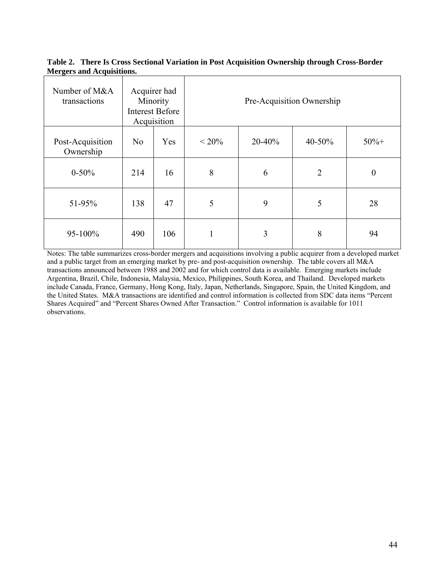|                                  | Table 2. There Is Cross Sectional Variation in Post Acquisition Ownership through Cross-Border |  |
|----------------------------------|------------------------------------------------------------------------------------------------|--|
| <b>Mergers and Acquisitions.</b> |                                                                                                |  |

| Number of M&A<br>transactions |                | Acquirer had<br>Minority<br><b>Interest Before</b><br>Acquisition | Pre-Acquisition Ownership |        |                |                  |  |  |
|-------------------------------|----------------|-------------------------------------------------------------------|---------------------------|--------|----------------|------------------|--|--|
| Post-Acquisition<br>Ownership | N <sub>o</sub> | Yes                                                               | $< 20\%$                  | 20-40% | 40-50%         | $50% +$          |  |  |
| $0 - 50\%$                    | 214            | 16                                                                | 8                         | 6      | $\overline{2}$ | $\boldsymbol{0}$ |  |  |
| 51-95%                        | 138            | 47                                                                | 5                         | 9      | 5              | 28               |  |  |
| 95-100%                       | 490            | 106                                                               | ш                         | 3      | 8              | 94               |  |  |

Notes: The table summarizes cross-border mergers and acquisitions involving a public acquirer from a developed market and a public target from an emerging market by pre- and post-acquisition ownership. The table covers all M&A transactions announced between 1988 and 2002 and for which control data is available. Emerging markets include Argentina, Brazil, Chile, Indonesia, Malaysia, Mexico, Philippines, South Korea, and Thailand. Developed markets include Canada, France, Germany, Hong Kong, Italy, Japan, Netherlands, Singapore, Spain, the United Kingdom, and the United States. M&A transactions are identified and control information is collected from SDC data items "Percent Shares Acquired" and "Percent Shares Owned After Transaction." Control information is available for 1011 observations.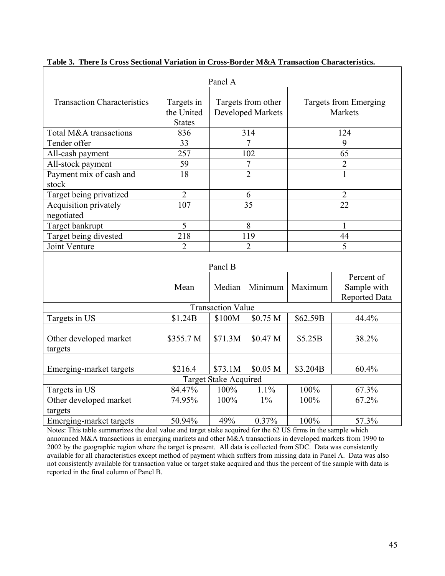|                                     |                                           | Panel A                  |                                         |          |                                            |  |  |  |  |  |
|-------------------------------------|-------------------------------------------|--------------------------|-----------------------------------------|----------|--------------------------------------------|--|--|--|--|--|
| <b>Transaction Characteristics</b>  | Targets in<br>the United<br><b>States</b> |                          | Targets from other<br>Developed Markets |          | Targets from Emerging<br><b>Markets</b>    |  |  |  |  |  |
| Total M&A transactions              | 836                                       |                          | 314                                     |          | 124                                        |  |  |  |  |  |
| Tender offer                        | 33                                        |                          | $\overline{7}$                          |          | 9                                          |  |  |  |  |  |
| All-cash payment                    | 257                                       |                          | 102                                     |          | 65                                         |  |  |  |  |  |
| All-stock payment                   | 59                                        |                          | $\boldsymbol{7}$                        |          | $\overline{2}$                             |  |  |  |  |  |
| Payment mix of cash and<br>stock    | $\overline{18}$                           |                          | $\overline{2}$                          |          | $\mathbf{1}$                               |  |  |  |  |  |
| Target being privatized             | $\overline{2}$                            |                          | 6                                       |          | 2                                          |  |  |  |  |  |
| Acquisition privately<br>negotiated | 107                                       |                          | 35                                      |          | $\overline{22}$                            |  |  |  |  |  |
| Target bankrupt                     | 5                                         | 8                        |                                         | 1        |                                            |  |  |  |  |  |
| Target being divested               | $\frac{218}{ }$                           | 119                      |                                         |          | 44                                         |  |  |  |  |  |
| Joint Venture                       | $\overline{2}$                            |                          | $\overline{2}$                          |          | 5                                          |  |  |  |  |  |
| Panel B                             |                                           |                          |                                         |          |                                            |  |  |  |  |  |
|                                     | Mean                                      | Median                   | Minimum                                 | Maximum  | Percent of<br>Sample with<br>Reported Data |  |  |  |  |  |
|                                     |                                           | <b>Transaction Value</b> |                                         |          |                                            |  |  |  |  |  |
| Targets in US                       | \$1.24B                                   | \$100M                   | \$0.75 M                                | \$62.59B | 44.4%                                      |  |  |  |  |  |
| Other developed market<br>targets   | \$355.7 M                                 | \$71.3M                  | \$0.47 M                                | \$5.25B  | 38.2%                                      |  |  |  |  |  |
| Emerging-market targets             | \$216.4                                   | \$73.1M                  | \$0.05 <sub>M</sub>                     | \$3.204B | 60.4%                                      |  |  |  |  |  |
|                                     |                                           | Target Stake Acquired    |                                         |          |                                            |  |  |  |  |  |
| Targets in US                       | 84.47%                                    | 100%                     | 1.1%                                    | 100%     | 67.3%                                      |  |  |  |  |  |
| Other developed market<br>targets   | 74.95%                                    | 100%                     | $1\%$                                   | 100%     | 67.2%                                      |  |  |  |  |  |
| Emerging-market targets             | 50.94%                                    | 49%                      | 0.37%                                   | 100%     | 57.3%                                      |  |  |  |  |  |

| Table 3. There Is Cross Sectional Variation in Cross-Border M&A Transaction Characteristics. |
|----------------------------------------------------------------------------------------------|
|----------------------------------------------------------------------------------------------|

Notes: This table summarizes the deal value and target stake acquired for the 62 US firms in the sample which announced M&A transactions in emerging markets and other M&A transactions in developed markets from 1990 to 2002 by the geographic region where the target is present. All data is collected from SDC. Data was consistently available for all characteristics except method of payment which suffers from missing data in Panel A. Data was also not consistently available for transaction value or target stake acquired and thus the percent of the sample with data is reported in the final column of Panel B.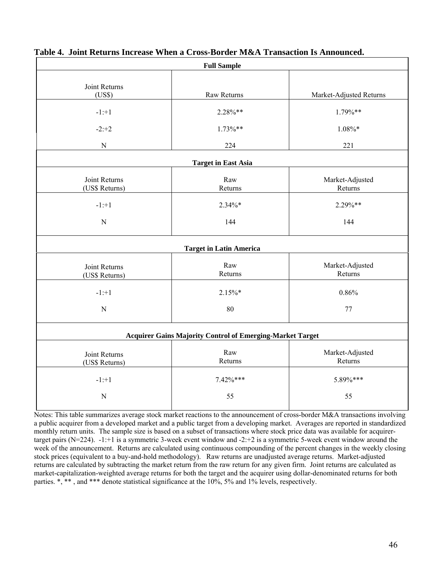| <b>Full Sample</b>              |                                                                  |                            |  |  |  |  |  |  |  |  |
|---------------------------------|------------------------------------------------------------------|----------------------------|--|--|--|--|--|--|--|--|
| Joint Returns<br>(US\$)         | Raw Returns                                                      | Market-Adjusted Returns    |  |  |  |  |  |  |  |  |
| $-1: +1$                        | $2.28\%**$                                                       | $1.79\%**$                 |  |  |  |  |  |  |  |  |
| $-2:+2$                         | $1.73\%**$                                                       | $1.08\%*$                  |  |  |  |  |  |  |  |  |
| ${\bf N}$                       | 224                                                              | 221                        |  |  |  |  |  |  |  |  |
| <b>Target in East Asia</b>      |                                                                  |                            |  |  |  |  |  |  |  |  |
| Joint Returns<br>(US\$ Returns) | Raw<br>Returns                                                   | Market-Adjusted<br>Returns |  |  |  |  |  |  |  |  |
| $-1: +1$                        | $2.34\%*$                                                        | 2.29%**                    |  |  |  |  |  |  |  |  |
| ${\bf N}$                       | 144                                                              | 144                        |  |  |  |  |  |  |  |  |
|                                 | <b>Target in Latin America</b>                                   |                            |  |  |  |  |  |  |  |  |
| Joint Returns<br>(US\$ Returns) | Raw<br>Returns                                                   | Market-Adjusted<br>Returns |  |  |  |  |  |  |  |  |
| $-1: +1$                        | $2.15\%*$                                                        | 0.86%                      |  |  |  |  |  |  |  |  |
| ${\bf N}$                       | 80                                                               | 77                         |  |  |  |  |  |  |  |  |
|                                 | <b>Acquirer Gains Majority Control of Emerging-Market Target</b> |                            |  |  |  |  |  |  |  |  |
| Joint Returns<br>(US\$ Returns) | Raw<br>Returns                                                   | Market-Adjusted<br>Returns |  |  |  |  |  |  |  |  |
| $-1: +1$                        | $7.42\%***$                                                      | 5.89%***                   |  |  |  |  |  |  |  |  |
| ${\bf N}$                       | 55                                                               | 55                         |  |  |  |  |  |  |  |  |

### **Table 4. Joint Returns Increase When a Cross-Border M&A Transaction Is Announced.**

Notes: This table summarizes average stock market reactions to the announcement of cross-border M&A transactions involving a public acquirer from a developed market and a public target from a developing market. Averages are reported in standardized monthly return units. The sample size is based on a subset of transactions where stock price data was available for acquirertarget pairs ( $N=224$ ).  $-1:+1$  is a symmetric 3-week event window and  $-2:+2$  is a symmetric 5-week event window around the week of the announcement. Returns are calculated using continuous compounding of the percent changes in the weekly closing stock prices (equivalent to a buy-and-hold methodology). Raw returns are unadjusted average returns. Market-adjusted returns are calculated by subtracting the market return from the raw return for any given firm. Joint returns are calculated as market-capitalization-weighted average returns for both the target and the acquirer using dollar-denominated returns for both parties.  $\ast$ ,  $\ast\ast$ , and  $\ast\ast\ast$  denote statistical significance at the 10%, 5% and 1% levels, respectively.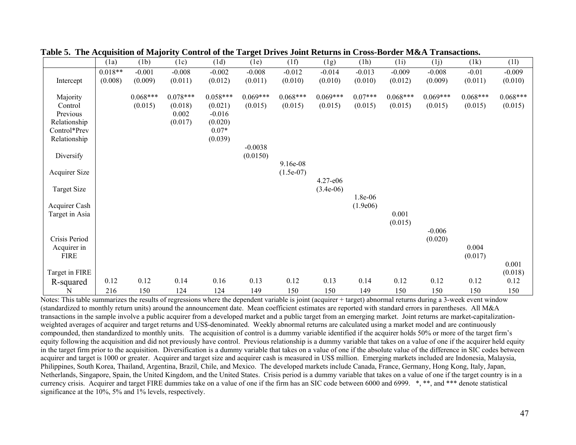|                            | (1a)      | (1b)       | (1c)       | (1d)       | (1e)       | (1f)        | (1g)        | (1h)      | (1i)       | (i)        | (1k)       | (11)       |
|----------------------------|-----------|------------|------------|------------|------------|-------------|-------------|-----------|------------|------------|------------|------------|
|                            | $0.018**$ | $-0.001$   | $-0.008$   | $-0.002$   | $-0.008$   | $-0.012$    | $-0.014$    | $-0.013$  | $-0.009$   | $-0.008$   | $-0.01$    | $-0.009$   |
| Intercept                  | (0.008)   | (0.009)    | (0.011)    | (0.012)    | (0.011)    | (0.010)     | (0.010)     | (0.010)   | (0.012)    | (0.009)    | (0.011)    | (0.010)    |
|                            |           |            |            |            |            |             |             |           |            |            |            |            |
| Majority                   |           | $0.068***$ | $0.078***$ | $0.058***$ | $0.069***$ | $0.068***$  | $0.069***$  | $0.07***$ | $0.068***$ | $0.069***$ | $0.068***$ | $0.068***$ |
| Control                    |           | (0.015)    | (0.018)    | (0.021)    | (0.015)    | (0.015)     | (0.015)     | (0.015)   | (0.015)    | (0.015)    | (0.015)    | (0.015)    |
| Previous                   |           |            | 0.002      | $-0.016$   |            |             |             |           |            |            |            |            |
| Relationship               |           |            | (0.017)    | (0.020)    |            |             |             |           |            |            |            |            |
| Control*Prev               |           |            |            | $0.07*$    |            |             |             |           |            |            |            |            |
| Relationship               |           |            |            | (0.039)    |            |             |             |           |            |            |            |            |
|                            |           |            |            |            | $-0.0038$  |             |             |           |            |            |            |            |
| Diversify                  |           |            |            |            | (0.0150)   |             |             |           |            |            |            |            |
|                            |           |            |            |            |            | 9.16e-08    |             |           |            |            |            |            |
| Acquirer Size              |           |            |            |            |            | $(1.5e-07)$ |             |           |            |            |            |            |
|                            |           |            |            |            |            |             | 4.27-e06    |           |            |            |            |            |
| <b>Target Size</b>         |           |            |            |            |            |             | $(3.4e-06)$ |           |            |            |            |            |
|                            |           |            |            |            |            |             |             | 1.8e-06   |            |            |            |            |
| Acquirer Cash              |           |            |            |            |            |             |             | (1.9e06)  | 0.001      |            |            |            |
| Target in Asia             |           |            |            |            |            |             |             |           | (0.015)    |            |            |            |
|                            |           |            |            |            |            |             |             |           |            | $-0.006$   |            |            |
| Crisis Period              |           |            |            |            |            |             |             |           |            | (0.020)    |            |            |
|                            |           |            |            |            |            |             |             |           |            |            | 0.004      |            |
| Acquirer in<br><b>FIRE</b> |           |            |            |            |            |             |             |           |            |            | (0.017)    |            |
|                            |           |            |            |            |            |             |             |           |            |            |            | 0.001      |
| Target in FIRE             |           |            |            |            |            |             |             |           |            |            |            | (0.018)    |
|                            | 0.12      | 0.12       | 0.14       | 0.16       | 0.13       | 0.12        | 0.13        | 0.14      | 0.12       | 0.12       | 0.12       | 0.12       |
| R-squared                  |           |            |            |            |            |             |             |           |            |            |            |            |
| N                          | 216       | 150        | 124        | 124        | 149        | 150         | 150         | 149       | 150        | 150        | 150        | 150        |

|  |  |  | Table 5. The Acquisition of Majority Control of the Target Drives Joint Returns in Cross-Border M&A Transactions. |  |
|--|--|--|-------------------------------------------------------------------------------------------------------------------|--|
|  |  |  |                                                                                                                   |  |

Notes: This table summarizes the results of regressions where the dependent variable is joint (acquirer + target) abnormal returns during a 3-week event window (standardized to monthly return units) around the announcement date. Mean coefficient estimates are reported with standard errors in parentheses. All M&A transactions in the sample involve a public acquirer from a developed market and a public target from an emerging market. Joint returns are market-capitalizationweighted averages of acquirer and target returns and US\$-denominated. Weekly abnormal returns are calculated using a market model and are continuously compounded, then standardized to monthly units. The acquisition of control is a dummy variable identified if the acquirer holds 50% or more of the target firm's equity following the acquisition and did not previously have control. Previous relationship is a dummy variable that takes on a value of one if the acquirer held equity in the target firm prior to the acquisition. Diversification is a dummy variable that takes on a value of one if the absolute value of the difference in SIC codes between acquirer and target is 1000 or greater. Acquirer and target size and acquirer cash is measured in US\$ million. Emerging markets included are Indonesia, Malaysia, Philippines, South Korea, Thailand, Argentina, Brazil, Chile, and Mexico. The developed markets include Canada, France, Germany, Hong Kong, Italy, Japan, Netherlands, Singapore, Spain, the United Kingdom, and the United States. Crisis period is a dummy variable that takes on a value of one if the target country is in a currency crisis. Acquirer and target FIRE dummies take on a value of one if the firm has an SIC code between 6000 and 6999. \*, \*\*, and \*\*\* denote statistical significance at the 10%, 5% and 1% levels, respectively.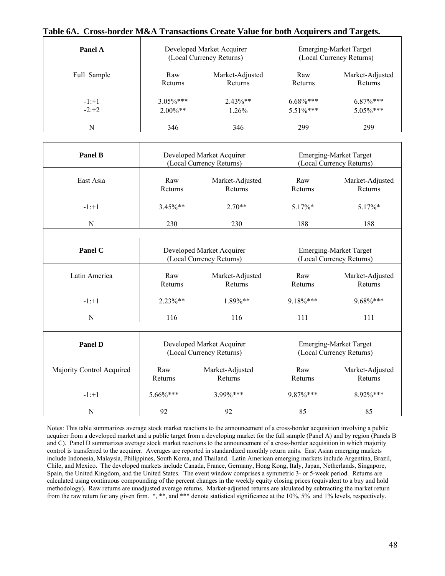#### **Table 6A. Cross-border M&A Transactions Create Value for both Acquirers and Targets.**

| Panel A     |             | Developed Market Acquirer<br>(Local Currency Returns) | <b>Emerging-Market Target</b><br>(Local Currency Returns) |                 |  |  |
|-------------|-------------|-------------------------------------------------------|-----------------------------------------------------------|-----------------|--|--|
| Full Sample | Raw         | Market-Adjusted                                       | Raw                                                       | Market-Adjusted |  |  |
|             | Returns     | Returns                                               | Returns                                                   | Returns         |  |  |
| $-1:+1$     | $3.05\%***$ | $2.43\%**$                                            | $6.68\%$ ***                                              | $6.87\%***$     |  |  |
| $-2:+2$     | $2.00\%**$  | 1.26%                                                 | $5.51\%***$                                               | $5.05\%***$     |  |  |
| N           | 346         | 346                                                   | 299                                                       | 299             |  |  |

| <b>Panel B</b>            |                | Developed Market Acquirer<br>(Local Currency Returns) | <b>Emerging-Market Target</b><br>(Local Currency Returns) |                                                           |  |  |
|---------------------------|----------------|-------------------------------------------------------|-----------------------------------------------------------|-----------------------------------------------------------|--|--|
| East Asia                 | Raw<br>Returns | Market-Adjusted<br>Returns                            | Raw<br>Returns                                            | Market-Adjusted<br>Returns                                |  |  |
| $-1: +1$                  | $3.45\%**$     | $2.70**$                                              | 5.17%*                                                    | $5.17\%*$                                                 |  |  |
| N                         | 230            | 230                                                   | 188                                                       | 188                                                       |  |  |
|                           |                |                                                       |                                                           |                                                           |  |  |
| Panel C                   |                | Developed Market Acquirer<br>(Local Currency Returns) | <b>Emerging-Market Target</b><br>(Local Currency Returns) |                                                           |  |  |
| Latin America             | Raw<br>Returns | Market-Adjusted<br>Returns                            | Raw<br>Returns                                            | Market-Adjusted<br>Returns                                |  |  |
| $-1: +1$                  | $2.23\%**$     | 1.89%**                                               | 9.18%***                                                  | 9.68%***                                                  |  |  |
| N                         | 116            | 116                                                   | 111                                                       | 111                                                       |  |  |
|                           |                |                                                       |                                                           |                                                           |  |  |
| <b>Panel D</b>            |                | Developed Market Acquirer<br>(Local Currency Returns) |                                                           | <b>Emerging-Market Target</b><br>(Local Currency Returns) |  |  |
| Majority Control Acquired | Raw<br>Returns | Market-Adjusted<br>Returns                            | Raw<br>Returns                                            | Market-Adjusted<br>Returns                                |  |  |
| $-1: +1$                  | $5.66\%***$    | 3.99%***                                              | 9.87%***                                                  | 8.92%***                                                  |  |  |
| N                         | 92             | 92                                                    | 85                                                        | 85                                                        |  |  |

Notes: This table summarizes average stock market reactions to the announcement of a cross-border acquisition involving a public acquirer from a developed market and a public target from a developing market for the full sample (Panel A) and by region (Panels B and C). Panel D summarizes average stock market reactions to the announcement of a cross-border acquisition in which majority control is transferred to the acquirer. Averages are reported in standardized monthly return units. East Asian emerging markets include Indonesia, Malaysia, Philippines, South Korea, and Thailand. Latin American emerging markets include Argentina, Brazil, Chile, and Mexico. The developed markets include Canada, France, Germany, Hong Kong, Italy, Japan, Netherlands, Singapore, Spain, the United Kingdom, and the United States. The event window comprises a symmetric 3- or 5-week period. Returns are calculated using continuous compounding of the percent changes in the weekly equity closing prices (equivalent to a buy and hold methodology). Raw returns are unadjusted average returns. Market-adjusted returns are alculated by subtracting the market return from the raw return for any given firm. \*, \*\*, and \*\*\* denote statistical significance at the 10%, 5% and 1% levels, respectively.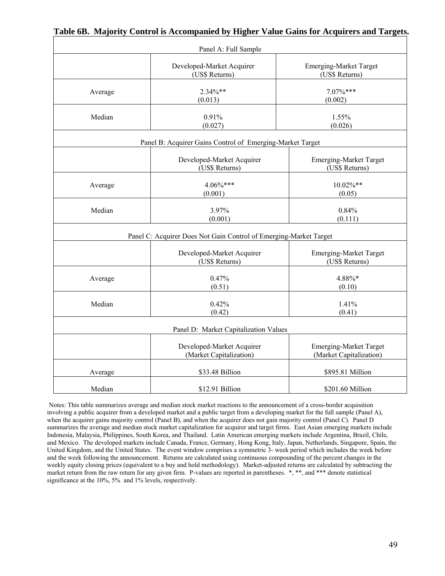|         | Panel A: Full Sample                                              |                                                          |
|---------|-------------------------------------------------------------------|----------------------------------------------------------|
|         | Developed-Market Acquirer<br>(US\$ Returns)                       | <b>Emerging-Market Target</b><br>(US\$ Returns)          |
| Average | $2.34\%**$<br>(0.013)                                             | $7.07\%***$<br>(0.002)                                   |
| Median  | 0.91%<br>(0.027)                                                  | 1.55%<br>(0.026)                                         |
|         | Panel B: Acquirer Gains Control of Emerging-Market Target         |                                                          |
|         | Developed-Market Acquirer<br>(US\$ Returns)                       | <b>Emerging-Market Target</b><br>(US\$ Returns)          |
| Average | $4.06\%***$<br>(0.001)                                            | 10.02%**<br>(0.05)                                       |
| Median  | 3.97%<br>(0.001)                                                  | 0.84%<br>(0.111)                                         |
|         | Panel C: Acquirer Does Not Gain Control of Emerging-Market Target |                                                          |
|         | Developed-Market Acquirer<br>(US\$ Returns)                       | <b>Emerging-Market Target</b><br>(US\$ Returns)          |
| Average | 0.47%<br>(0.51)                                                   | 4.88%*<br>(0.10)                                         |
| Median  | 0.42%<br>(0.42)                                                   | 1.41%<br>(0.41)                                          |
|         | Panel D: Market Capitalization Values                             |                                                          |
|         | Developed-Market Acquirer<br>(Market Capitalization)              | <b>Emerging-Market Target</b><br>(Market Capitalization) |
| Average | \$33.48 Billion                                                   | \$895.81 Million                                         |
| Median  | \$12.91 Billion                                                   | \$201.60 Million                                         |

### **Table 6B. Majority Control is Accompanied by Higher Value Gains for Acquirers and Targets.**

Notes: This table summarizes average and median stock market reactions to the announcement of a cross-border acquisition involving a public acquirer from a developed market and a public target from a developing market for the full sample (Panel A), when the acquirer gains majority control (Panel B), and when the acquirer does not gain majority control (Panel C). Panel D summarizes the average and median stock market capitalization for acquirer and target firms. East Asian emerging markets include Indonesia, Malaysia, Philippines, South Korea, and Thailand. Latin American emerging markets include Argentina, Brazil, Chile, and Mexico. The developed markets include Canada, France, Germany, Hong Kong, Italy, Japan, Netherlands, Singapore, Spain, the United Kingdom, and the United States. The event window comprises a symmetric 3- week period which includes the week before and the week following the announcement. Returns are calculated using continuous compounding of the percent changes in the weekly equity closing prices (equivalent to a buy and hold methodology). Market-adjusted returns are calculated by subtracting the market return from the raw return for any given firm. P-values are reported in parentheses. \*, \*\*, and \*\*\* denote statistical significance at the 10%, 5% and 1% levels, respectively.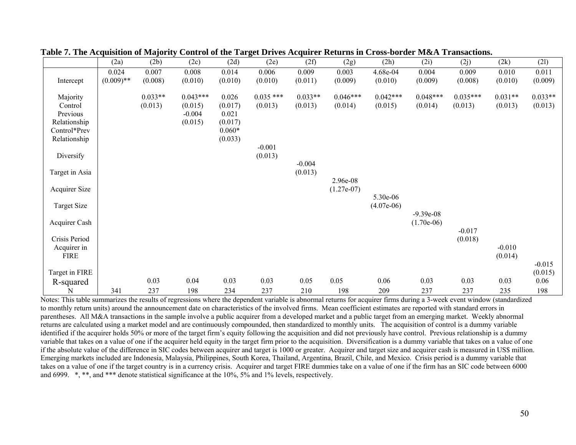|                      | (2a)         | (2b)      | (2c)       | (2d)     | (2e)        | (2f)      | (2g)         | (2h)         | (2i)         | (2j)       | (2k)      | (21)      |
|----------------------|--------------|-----------|------------|----------|-------------|-----------|--------------|--------------|--------------|------------|-----------|-----------|
|                      | 0.024        | 0.007     | 0.008      | 0.014    | 0.006       | 0.009     | 0.003        | 4.68e-04     | 0.004        | 0.009      | 0.010     | 0.011     |
| Intercept            | $(0.009)$ ** | (0.008)   | (0.010)    | (0.010)  | (0.010)     | (0.011)   | (0.009)      | (0.010)      | (0.009)      | (0.008)    | (0.010)   | (0.009)   |
| Majority             |              | $0.033**$ | $0.043***$ | 0.026    | $0.035$ *** | $0.033**$ | $0.046***$   | $0.042***$   | $0.048***$   | $0.035***$ | $0.031**$ | $0.033**$ |
| Control              |              | (0.013)   | (0.015)    | (0.017)  | (0.013)     | (0.013)   | (0.014)      | (0.015)      | (0.014)      | (0.013)    | (0.013)   | (0.013)   |
| Previous             |              |           | $-0.004$   | 0.021    |             |           |              |              |              |            |           |           |
| Relationship         |              |           | (0.015)    | (0.017)  |             |           |              |              |              |            |           |           |
| Control*Prev         |              |           |            | $0.060*$ |             |           |              |              |              |            |           |           |
| Relationship         |              |           |            | (0.033)  |             |           |              |              |              |            |           |           |
|                      |              |           |            |          | $-0.001$    |           |              |              |              |            |           |           |
| Diversify            |              |           |            |          | (0.013)     |           |              |              |              |            |           |           |
|                      |              |           |            |          |             | $-0.004$  |              |              |              |            |           |           |
| Target in Asia       |              |           |            |          |             | (0.013)   |              |              |              |            |           |           |
|                      |              |           |            |          |             |           | 2.96e-08     |              |              |            |           |           |
| <b>Acquirer Size</b> |              |           |            |          |             |           | $(1.27e-07)$ |              |              |            |           |           |
|                      |              |           |            |          |             |           |              | 5.30e-06     |              |            |           |           |
| <b>Target Size</b>   |              |           |            |          |             |           |              | $(4.07e-06)$ | $-9.39e-08$  |            |           |           |
| Acquirer Cash        |              |           |            |          |             |           |              |              | $(1.70e-06)$ |            |           |           |
|                      |              |           |            |          |             |           |              |              |              | $-0.017$   |           |           |
| Crisis Period        |              |           |            |          |             |           |              |              |              | (0.018)    |           |           |
| Acquirer in          |              |           |            |          |             |           |              |              |              |            | $-0.010$  |           |
| <b>FIRE</b>          |              |           |            |          |             |           |              |              |              |            | (0.014)   |           |
|                      |              |           |            |          |             |           |              |              |              |            |           | $-0.015$  |
| Target in FIRE       |              |           |            |          |             |           |              |              |              |            |           | (0.015)   |
| R-squared            |              | 0.03      | 0.04       | 0.03     | 0.03        | 0.05      | 0.05         | 0.06         | 0.03         | 0.03       | 0.03      | 0.06      |
| N                    | 341          | 237       | 198        | 234      | 237         | 210       | 198          | 209          | 237          | 237        | 235       | 198       |

| Table 7. The Acquisition of Majority Control of the Target Drives Acquirer Returns in Cross-border M&A Transactions. |
|----------------------------------------------------------------------------------------------------------------------|
|----------------------------------------------------------------------------------------------------------------------|

Notes: This table summarizes the results of regressions where the dependent variable is abnormal returns for acquirer firms during a 3-week event window (standardized to monthly return units) around the announcement date on characteristics of the involved firms. Mean coefficient estimates are reported with standard errors in parentheses. All M&A transactions in the sample involve a public acquirer from a developed market and a public target from an emerging market. Weekly abnormal returns are calculated using a market model and are continuously compounded, then standardized to monthly units. The acquisition of control is a dummy variable identified if the acquirer holds 50% or more of the target firm's equity following the acquisition and did not previously have control. Previous relationship is a dummy variable that takes on a value of one if the acquirer held equity in the target firm prior to the acquisition. Diversification is a dummy variable that takes on a value of one if the absolute value of the difference in SIC codes between acquirer and target is 1000 or greater. Acquirer and target size and acquirer cash is measured in US\$ million. Emerging markets included are Indonesia, Malaysia, Philippines, South Korea, Thailand, Argentina, Brazil, Chile, and Mexico. Crisis period is a dummy variable that takes on a value of one if the target country is in a currency crisis. Acquirer and target FIRE dummies take on a value of one if the firm has an SIC code between 6000 and 6999. \*, \*\*, and \*\*\* denote statistical significance at the 10%, 5% and 1% levels, respectively.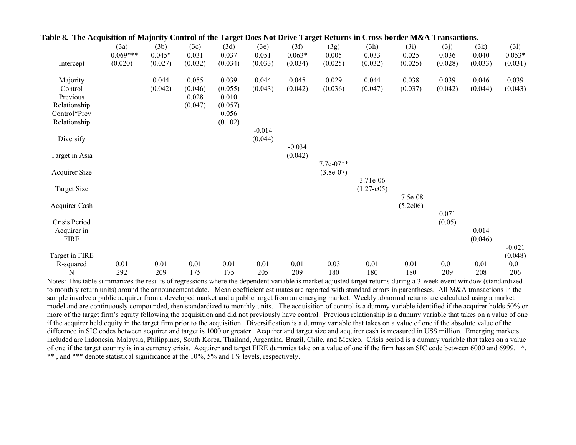|                      | (3a)       | (3b)     | (3c)    | (3d)    | (3e)     | (3f)     | (3g)        | (3h)                       | (3i)       | (3j)    | (3k)    | (31)     |
|----------------------|------------|----------|---------|---------|----------|----------|-------------|----------------------------|------------|---------|---------|----------|
|                      | $0.069***$ | $0.045*$ | 0.031   | 0.037   | 0.051    | $0.063*$ | 0.005       | 0.033                      | 0.025      | 0.036   | 0.040   | $0.053*$ |
| Intercept            | (0.020)    | (0.027)  | (0.032) | (0.034) | (0.033)  | (0.034)  | (0.025)     | (0.032)                    | (0.025)    | (0.028) | (0.033) | (0.031)  |
|                      |            |          |         |         |          |          |             |                            |            |         |         |          |
| Majority             |            | 0.044    | 0.055   | 0.039   | 0.044    | 0.045    | 0.029       | 0.044                      | 0.038      | 0.039   | 0.046   | 0.039    |
| Control              |            | (0.042)  | (0.046) | (0.055) | (0.043)  | (0.042)  | (0.036)     | (0.047)                    | (0.037)    | (0.042) | (0.044) | (0.043)  |
| Previous             |            |          | 0.028   | 0.010   |          |          |             |                            |            |         |         |          |
| Relationship         |            |          | (0.047) | (0.057) |          |          |             |                            |            |         |         |          |
| Control*Prev         |            |          |         | 0.056   |          |          |             |                            |            |         |         |          |
| Relationship         |            |          |         | (0.102) |          |          |             |                            |            |         |         |          |
|                      |            |          |         |         | $-0.014$ |          |             |                            |            |         |         |          |
| Diversify            |            |          |         |         | (0.044)  |          |             |                            |            |         |         |          |
|                      |            |          |         |         |          | $-0.034$ |             |                            |            |         |         |          |
| Target in Asia       |            |          |         |         |          | (0.042)  |             |                            |            |         |         |          |
|                      |            |          |         |         |          |          | 7.7e-07**   |                            |            |         |         |          |
| <b>Acquirer Size</b> |            |          |         |         |          |          | $(3.8e-07)$ |                            |            |         |         |          |
|                      |            |          |         |         |          |          |             | 3.71e-06<br>$(1.27 - e05)$ |            |         |         |          |
| Target Size          |            |          |         |         |          |          |             |                            | $-7.5e-08$ |         |         |          |
| Acquirer Cash        |            |          |         |         |          |          |             |                            | (5.2e06)   |         |         |          |
|                      |            |          |         |         |          |          |             |                            |            | 0.071   |         |          |
| Crisis Period        |            |          |         |         |          |          |             |                            |            | (0.05)  |         |          |
| Acquirer in          |            |          |         |         |          |          |             |                            |            |         | 0.014   |          |
| <b>FIRE</b>          |            |          |         |         |          |          |             |                            |            |         | (0.046) |          |
|                      |            |          |         |         |          |          |             |                            |            |         |         | $-0.021$ |
| Target in FIRE       |            |          |         |         |          |          |             |                            |            |         |         | (0.048)  |
| R-squared            | 0.01       | 0.01     | 0.01    | 0.01    | 0.01     | 0.01     | 0.03        | 0.01                       | 0.01       | 0.01    | 0.01    | 0.01     |
| N                    | 292        | 209      | 175     | 175     | 205      | 209      | 180         | 180                        | 180        | 209     | 208     | 206      |

**Table 8. The Acquisition of Majority Control of the Target Does Not Drive Target Returns in Cross-border M&A Transactions.** 

Notes: This table summarizes the results of regressions where the dependent variable is market adjusted target returns during a 3-week event window (standardized to monthly return units) around the announcement date. Mean coefficient estimates are reported with standard errors in parentheses. All M&A transactions in the sample involve a public acquirer from a developed market and a public target from an emerging market. Weekly abnormal returns are calculated using a market model and are continuously compounded, then standardized to monthly units. The acquisition of control is a dummy variable identified if the acquirer holds 50% or more of the target firm's equity following the acquisition and did not previously have control. Previous relationship is a dummy variable that takes on a value of one if the acquirer held equity in the target firm prior to the acquisition. Diversification is a dummy variable that takes on a value of one if the absolute value of the difference in SIC codes between acquirer and target is 1000 or greater. Acquirer and target size and acquirer cash is measured in US\$ million. Emerging markets included are Indonesia, Malaysia, Philippines, South Korea, Thailand, Argentina, Brazil, Chile, and Mexico. Crisis period is a dummy variable that takes on a value of one if the target country is in a currency crisis. Acquirer and target FIRE dummies take on a value of one if the firm has an SIC code between 6000 and 6999. \*, \*\*, and \*\*\* denote statistical significance at the 10%, 5% and 1% levels, respectively.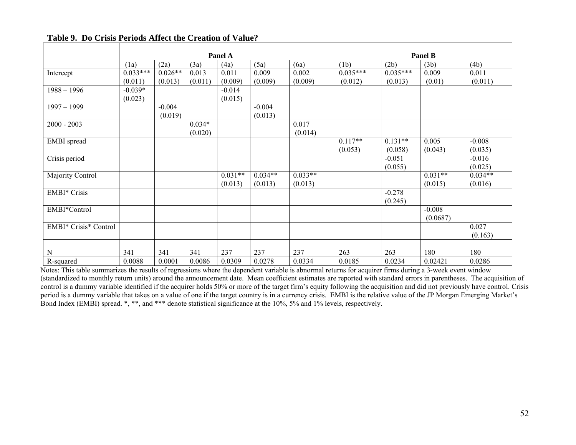|                       |            |           |          | Panel A   |           | Panel B   |            |            |           |           |  |
|-----------------------|------------|-----------|----------|-----------|-----------|-----------|------------|------------|-----------|-----------|--|
|                       | (1a)       | (2a)      | (3a)     | (4a)      | (5a)      | (6a)      | (1b)       | (2b)       | (3b)      | (4b)      |  |
| Intercept             | $0.033***$ | $0.026**$ | 0.013    | 0.011     | 0.009     | 0.002     | $0.035***$ | $0.035***$ | 0.009     | 0.011     |  |
|                       | (0.011)    | (0.013)   | (0.011)  | (0.009)   | (0.009)   | (0.009)   | (0.012)    | (0.013)    | (0.01)    | (0.011)   |  |
| $1988 - 1996$         | $-0.039*$  |           |          | $-0.014$  |           |           |            |            |           |           |  |
|                       | (0.023)    |           |          | (0.015)   |           |           |            |            |           |           |  |
| $1997 - 1999$         |            | $-0.004$  |          |           | $-0.004$  |           |            |            |           |           |  |
|                       |            | (0.019)   |          |           | (0.013)   |           |            |            |           |           |  |
| $2000 - 2003$         |            |           | $0.034*$ |           |           | 0.017     |            |            |           |           |  |
|                       |            |           | (0.020)  |           |           | (0.014)   |            |            |           |           |  |
| <b>EMBI</b> spread    |            |           |          |           |           |           | $0.117**$  | $0.131**$  | 0.005     | $-0.008$  |  |
|                       |            |           |          |           |           |           | (0.053)    | (0.058)    | (0.043)   | (0.035)   |  |
| Crisis period         |            |           |          |           |           |           |            | $-0.051$   |           | $-0.016$  |  |
|                       |            |           |          |           |           |           |            | (0.055)    |           | (0.025)   |  |
| Majority Control      |            |           |          | $0.031**$ | $0.034**$ | $0.033**$ |            |            | $0.031**$ | $0.034**$ |  |
|                       |            |           |          | (0.013)   | (0.013)   | (0.013)   |            |            | (0.015)   | (0.016)   |  |
| <b>EMBI*</b> Crisis   |            |           |          |           |           |           |            | $-0.278$   |           |           |  |
|                       |            |           |          |           |           |           |            | (0.245)    |           |           |  |
| EMBI*Control          |            |           |          |           |           |           |            |            | $-0.008$  |           |  |
|                       |            |           |          |           |           |           |            |            | (0.0687)  |           |  |
| EMBI* Crisis* Control |            |           |          |           |           |           |            |            |           | 0.027     |  |
|                       |            |           |          |           |           |           |            |            |           | (0.163)   |  |
|                       |            |           |          |           |           |           |            |            |           |           |  |
| N                     | 341        | 341       | 341      | 237       | 237       | 237       | 263        | 263        | 180       | 180       |  |
| R-squared             | 0.0088     | 0.0001    | 0.0086   | 0.0309    | 0.0278    | 0.0334    | 0.0185     | 0.0234     | 0.02421   | 0.0286    |  |

### **Table 9. Do Crisis Periods Affect the Creation of Value?**

Notes: This table summarizes the results of regressions where the dependent variable is abnormal returns for acquirer firms during a 3-week event window (standardized to monthly return units) around the announcement date. Mean coefficient estimates are reported with standard errors in parentheses. The acquisition of control is a dummy variable identified if the acquirer holds 50% or more of the target firm's equity following the acquisition and did not previously have control. Crisis period is a dummy variable that takes on a value of one if the target country is in a currency crisis. EMBI is the relative value of the JP Morgan Emerging Market's Bond Index (EMBI) spread. \*, \*\*, and \*\*\* denote statistical significance at the 10%, 5% and 1% levels, respectively.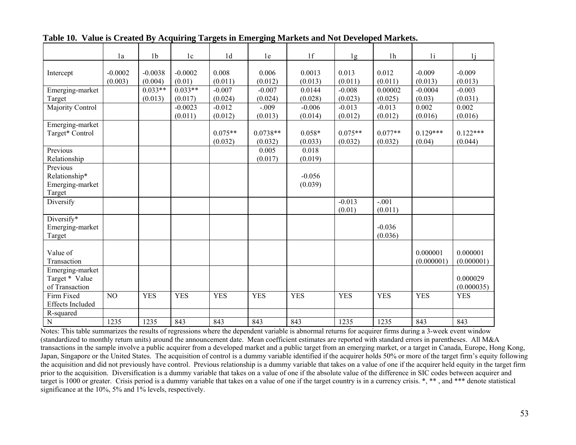|                                   | 1a        | 1 <sub>b</sub> | 1c         | 1 <sub>d</sub> | 1e         | 1f         | 1g         | 1 <sub>h</sub> | 1i         | 1i         |
|-----------------------------------|-----------|----------------|------------|----------------|------------|------------|------------|----------------|------------|------------|
| Intercept                         | $-0.0002$ | $-0.0038$      | $-0.0002$  | 0.008          | 0.006      | 0.0013     | 0.013      | 0.012          | $-0.009$   | $-0.009$   |
|                                   | (0.003)   | (0.004)        | (0.01)     | (0.011)        | (0.012)    | (0.013)    | (0.011)    | (0.011)        | (0.013)    | (0.013)    |
| Emerging-market                   |           | $0.033**$      | $0.033**$  | $-0.007$       | $-0.007$   | 0.0144     | $-0.008$   | 0.00002        | $-0.0004$  | $-0.003$   |
| Target                            |           | (0.013)        | (0.017)    | (0.024)        | (0.024)    | (0.028)    | (0.023)    | (0.025)        | (0.03)     | (0.031)    |
| Majority Control                  |           |                | $-0.0023$  | $-0.012$       | $-.009$    | $-0.006$   | $-0.013$   | $-0.013$       | 0.002      | 0.002      |
|                                   |           |                | (0.011)    | (0.012)        | (0.013)    | (0.014)    | (0.012)    | (0.012)        | (0.016)    | (0.016)    |
| Emerging-market                   |           |                |            |                |            |            |            |                |            |            |
| Target* Control                   |           |                |            | $0.075**$      | $0.0738**$ | $0.058*$   | $0.075**$  | $0.077**$      | $0.129***$ | $0.122***$ |
|                                   |           |                |            | (0.032)        | (0.032)    | (0.033)    | (0.032)    | (0.032)        | (0.04)     | (0.044)    |
| Previous                          |           |                |            |                | 0.005      | 0.018      |            |                |            |            |
| Relationship                      |           |                |            |                | (0.017)    | (0.019)    |            |                |            |            |
| Previous                          |           |                |            |                |            |            |            |                |            |            |
| Relationship*                     |           |                |            |                |            | $-0.056$   |            |                |            |            |
| Emerging-market                   |           |                |            |                |            | (0.039)    |            |                |            |            |
| Target                            |           |                |            |                |            |            |            |                |            |            |
| Diversify                         |           |                |            |                |            |            | $-0.013$   | $-.001$        |            |            |
|                                   |           |                |            |                |            |            | (0.01)     | (0.011)        |            |            |
| Diversify*                        |           |                |            |                |            |            |            |                |            |            |
| Emerging-market                   |           |                |            |                |            |            |            | $-0.036$       |            |            |
| Target                            |           |                |            |                |            |            |            | (0.036)        |            |            |
|                                   |           |                |            |                |            |            |            |                |            |            |
| Value of                          |           |                |            |                |            |            |            |                | 0.000001   | 0.000001   |
| Transaction                       |           |                |            |                |            |            |            |                | (0.000001) | (0.000001) |
| Emerging-market<br>Target * Value |           |                |            |                |            |            |            |                |            | 0.000029   |
| of Transaction                    |           |                |            |                |            |            |            |                |            | (0.000035) |
| Firm Fixed                        | NO        | <b>YES</b>     | <b>YES</b> | <b>YES</b>     | <b>YES</b> | <b>YES</b> | <b>YES</b> | <b>YES</b>     | <b>YES</b> | <b>YES</b> |
| <b>Effects Included</b>           |           |                |            |                |            |            |            |                |            |            |
| R-squared                         |           |                |            |                |            |            |            |                |            |            |
| $\mathbf N$                       | 1235      | 1235           | 843        | 843            | 843        | 843        | 1235       | 1235           | 843        | 843        |

**Table 10. Value is Created By Acquiring Targets in Emerging Markets and Not Developed Markets.**

Notes: This table summarizes the results of regressions where the dependent variable is abnormal returns for acquirer firms during a 3-week event window (standardized to monthly return units) around the announcement date. Mean coefficient estimates are reported with standard errors in parentheses. All M&A transactions in the sample involve a public acquirer from a developed market and a public target from an emerging market, or a target in Canada, Europe, Hong Kong, Japan, Singapore or the United States. The acquisition of control is a dummy variable identified if the acquirer holds 50% or more of the target firm's equity following the acquisition and did not previously have control. Previous relationship is a dummy variable that takes on a value of one if the acquirer held equity in the target firm prior to the acquisition. Diversification is a dummy variable that takes on a value of one if the absolute value of the difference in SIC codes between acquirer and target is 1000 or greater. Crisis period is a dummy variable that takes on a value of one if the target country is in a currency crisis. \*, \*\*, and \*\*\* denote statistical significance at the 10%, 5% and 1% levels, respectively.